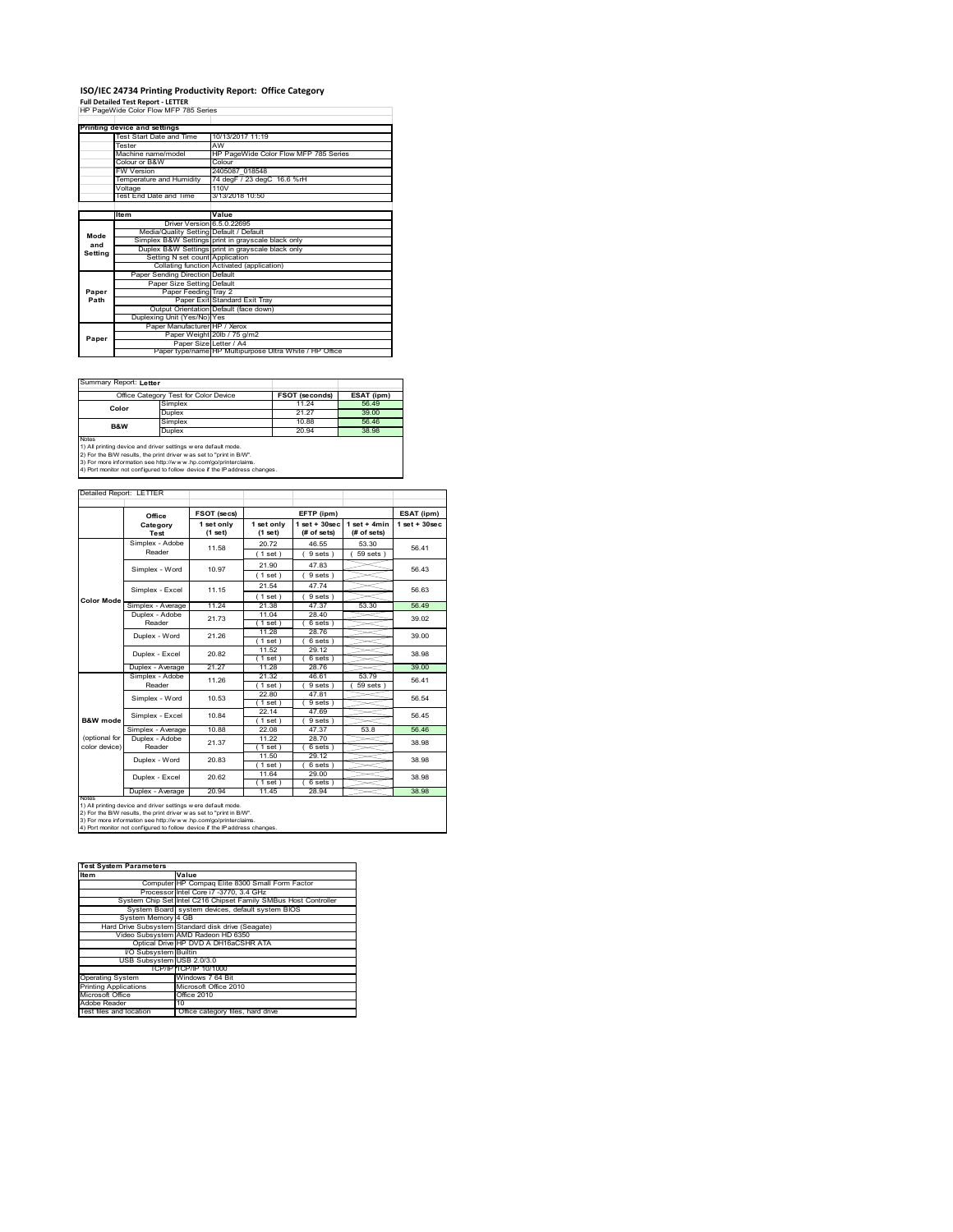# **ISO/IEC 24734 Printing Productivity Report: Office Category Full Detailed Test Report ‐ LETTER** HP PageWide Color Flow MFP 785 Series

|         | Printing device and settings            |                                                         |  |  |
|---------|-----------------------------------------|---------------------------------------------------------|--|--|
|         | Test Start Date and Time                | 10/13/2017 11:19                                        |  |  |
|         | Tester                                  | AW                                                      |  |  |
|         | Machine name/model                      | HP PageWide Color Flow MFP 785 Series                   |  |  |
|         | Colour or B&W                           | Colour                                                  |  |  |
|         | <b>FW Version</b>                       | 2405087 018548                                          |  |  |
|         | Temperature and Humidity                | 74 degF / 23 degC 16.6 %rH                              |  |  |
|         | Voltage                                 | 110V                                                    |  |  |
|         | Test End Date and Time                  | 3/13/2018 10:50                                         |  |  |
|         |                                         |                                                         |  |  |
|         | ltem                                    | Value                                                   |  |  |
|         | Driver Version 6.5.0.22695              |                                                         |  |  |
| Mode    | Media/Quality Setting Default / Default |                                                         |  |  |
| and     |                                         | Simplex B&W Settings print in grayscale black only      |  |  |
|         |                                         | Duplex B&W Settings print in grayscale black only       |  |  |
| Setting | Setting N set count Application         |                                                         |  |  |
|         |                                         | Collating function Activated (application)              |  |  |
|         | Paper Sending Direction Default         |                                                         |  |  |
|         | Paper Size Setting Default              |                                                         |  |  |
| Paper   | Paper Feeding Tray 2                    |                                                         |  |  |
| Path    |                                         | Paper Exit Standard Exit Tray                           |  |  |
|         |                                         | Output Orientation Default (face down)                  |  |  |
|         | Duplexing Unit (Yes/No) Yes             |                                                         |  |  |
|         | Paper Manufacturer HP / Xerox           |                                                         |  |  |
|         |                                         | Paper Weight 20lb / 75 g/m2                             |  |  |
| Paper   | Paper Size Letter / A4                  |                                                         |  |  |
|         |                                         | Paper type/name HP Multipurpose Ultra White / HP Office |  |  |

 $\overline{\phantom{0}}$ 

Summary Report: **Letter**

| -------------------------------                                                   |                                       |                       |            |  |  |
|-----------------------------------------------------------------------------------|---------------------------------------|-----------------------|------------|--|--|
|                                                                                   | Office Category Test for Color Device | <b>FSOT (seconds)</b> | ESAT (ipm) |  |  |
| Color                                                                             | Simplex                               | 11 24                 | 56.49      |  |  |
|                                                                                   | Duplex                                | 21.27                 | 39.00      |  |  |
| <b>B&amp;W</b>                                                                    | Simplex                               | 10.88                 | 56.46      |  |  |
|                                                                                   | Duplex                                | 20.94                 | 38.98      |  |  |
| <b>Notes</b>                                                                      |                                       |                       |            |  |  |
| 1) All printing device and driver settings w ere default mode.                    |                                       |                       |            |  |  |
| [2) For the B/W results, the print driver was set to "print in B/W".              |                                       |                       |            |  |  |
| [23] For example information one letter (hereon), but annuals charicter of circum |                                       |                       |            |  |  |

3) For more information see http://w w w .hp.com/go/printerclaims. 4) Port monitor not configured to follow device if the IP address changes.

| Detailed Report: LETTER |                           |                       |                       |                                   |                               |                   |
|-------------------------|---------------------------|-----------------------|-----------------------|-----------------------------------|-------------------------------|-------------------|
|                         | Office                    | FSOT (secs)           |                       | EFTP (ipm)                        |                               | ESAT (ipm)        |
|                         | Category<br>Test          | 1 set only<br>(1 set) | 1 set only<br>(1 set) | $1$ set + $30$ sec<br>(# of sets) | $1$ set + 4min<br>(# of sets) | $1$ set $+30$ sec |
|                         | Simplex - Adobe<br>Reader | 11.58                 | 20.72                 | 46.55                             | 53.30                         | 56 41             |
|                         |                           |                       | (1 set)               | 9 sets)                           | $59$ sets $)$                 |                   |
|                         | Simplex - Word            | 10.97                 | 21.90                 | 47.83                             |                               | 56.43             |
|                         |                           |                       | (1 set)               | 9 sets)                           |                               |                   |
|                         | Simplex - Excel           | 11.15                 | 21.54                 | 47 74                             |                               | 56.63             |
| <b>Color Mode</b>       |                           |                       | (1 set)               | 9 sets)                           |                               |                   |
|                         | Simplex - Average         | 11.24                 | 21.38                 | 47.37                             | 53.30                         | 56.49             |
|                         | Duplex - Adobe            | 21.73                 | 11.04                 | 28.40                             |                               | 39.02             |
|                         | Reader                    |                       | (1 set)               | 6 sets)                           |                               |                   |
|                         | Duplex - Word             | 21.26                 | 11.28                 | 28.76                             |                               | 39.00             |
|                         |                           |                       | (1 set)               | 6 sets)                           |                               |                   |
|                         | Duplex - Excel            | 20.82                 | 11.52                 | 29 12                             |                               | 38.98             |
|                         |                           |                       | $1$ set)              | $6 sets$ )                        |                               |                   |
|                         | Duplex - Average          | 21.27                 | 11.28                 | 28.76                             |                               | 39.00             |
|                         | Simplex - Adobe<br>Reader | 11.26                 | 21.32                 | 46.61                             | 53.79                         | 56 41             |
|                         | Simplex - Word            | 10.53                 | $1$ set)<br>22.80     | 9 sets)<br>47.81                  | 59 sets                       | 56.54             |
|                         |                           |                       | (1 set)               | 9 sets)                           |                               |                   |
|                         | Simplex - Excel           | 10.84                 | 22 14                 | 47.69                             |                               |                   |
| B&W mode                |                           |                       | $1$ set)              | 9 sets)                           |                               | 56.45             |
|                         | Simplex - Average         | 10.88                 | 22.08                 | 47.37                             | 53.8                          | 56.46             |
| (optional for           | Duplex - Adobe            |                       | 11.22                 | 28.70                             |                               |                   |
| color device)           | Reader                    | 21.37                 | $1$ set)              | $6 sets$ )                        |                               | 38.98             |
|                         | Duplex - Word             | 20.83                 | 11.50                 | 29.12                             |                               | 38.98             |
|                         |                           |                       | (1 set)               | 6 sets)                           |                               |                   |
|                         | Duplex - Excel            | 20.62                 | 11.64                 | 29.00                             |                               | 38.98             |
|                         |                           |                       | $1$ set)              | 6 sets)                           |                               |                   |
| <b>NOTAS</b>            | Duplex - Average          | 20.94                 | 11.45                 | 28.94                             |                               | 38.98             |

notes<br>1) All printing device and driver settings were default mode.<br>2) For the B/W results, the print driver was set to "print in B/W".<br>3) For more information see http://www.hp.com/go/printerclaims.<br>4) Por morator not con

| <b>Test System Parameters</b> |                                                                 |  |  |
|-------------------------------|-----------------------------------------------------------------|--|--|
| <b>Item</b>                   | Value                                                           |  |  |
|                               | Computer HP Compag Elite 8300 Small Form Factor                 |  |  |
|                               | Processor Intel Core i7 -3770, 3.4 GHz                          |  |  |
|                               | System Chip Set Intel C216 Chipset Family SMBus Host Controller |  |  |
|                               | System Board system devices, default system BIOS                |  |  |
| System Memory 4 GB            |                                                                 |  |  |
|                               | Hard Drive Subsystem Standard disk drive (Seagate)              |  |  |
|                               | Video Subsystem AMD Radeon HD 6350                              |  |  |
|                               | Optical Drive HP DVD A DH16aCSHR ATA                            |  |  |
| I/O Subsystem Builtin         |                                                                 |  |  |
| USB Subsystem USB 2.0/3.0     |                                                                 |  |  |
|                               | TCP/IPITCP/IP 10/1000                                           |  |  |
| <b>Operating System</b>       | Windows 7 64 Bit                                                |  |  |
| <b>Printing Applications</b>  | Microsoft Office 2010                                           |  |  |
| Microsoft Office              | Office 2010                                                     |  |  |
| Adobe Reader                  | 10                                                              |  |  |
| Test files and location       | Office category files, hard drive                               |  |  |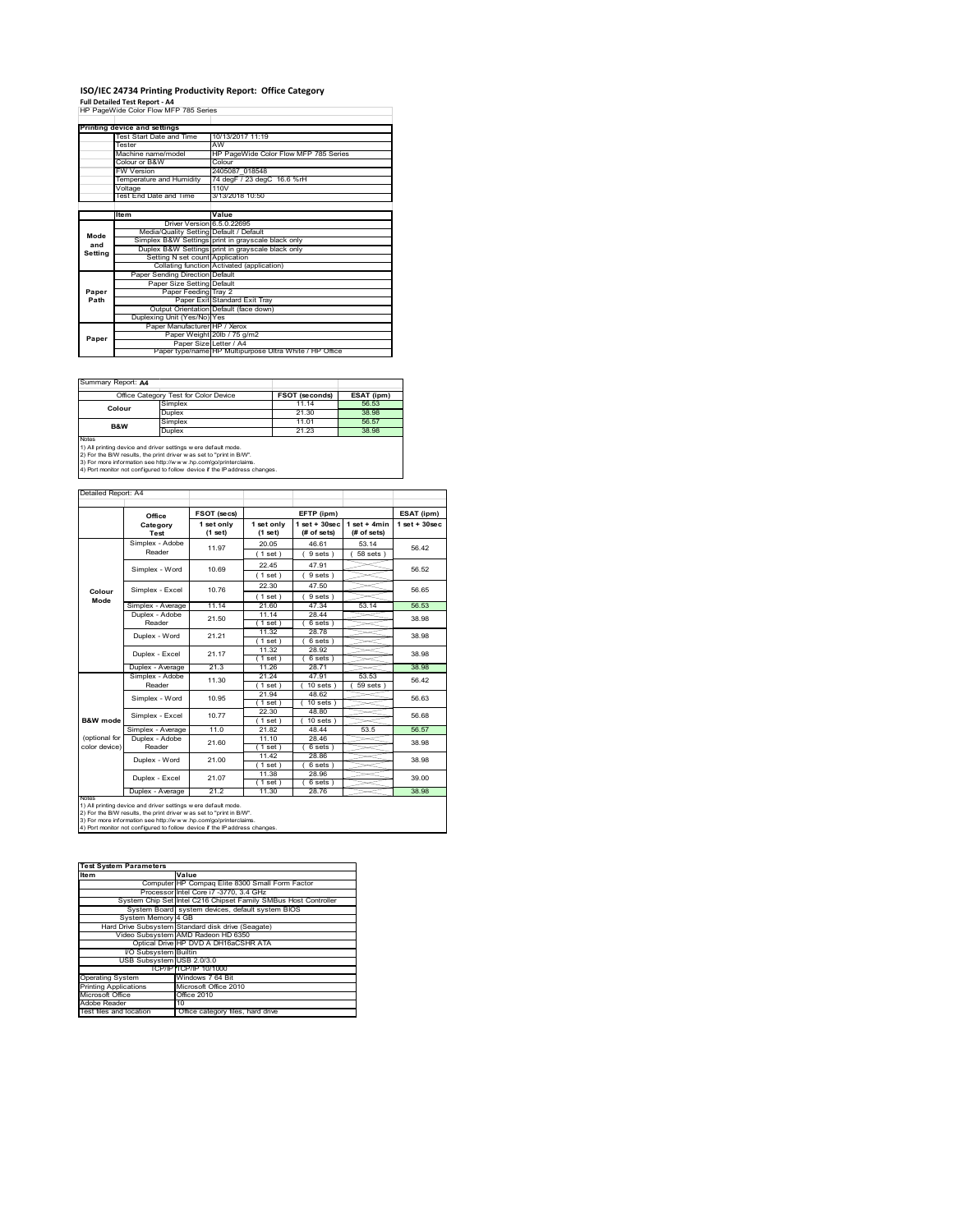## **ISO/IEC 24734 Printing Productivity Report: Office Category**

**Full Detailed Test Report ‐ A4** HP PageWide Color Flow MFP 785 Series

|         | Printing device and settings            |                                                         |  |  |
|---------|-----------------------------------------|---------------------------------------------------------|--|--|
|         | Test Start Date and Time                | 10/13/2017 11:19                                        |  |  |
|         | Tester                                  | AW                                                      |  |  |
|         | Machine name/model                      | HP PageWide Color Flow MFP 785 Series                   |  |  |
|         | Colour or B&W                           | Colour                                                  |  |  |
|         | <b>FW Version</b>                       | 2405087 018548                                          |  |  |
|         | Temperature and Humidity                | 74 degF / 23 degC 16.6 %rH                              |  |  |
|         | Voltage                                 | 110V                                                    |  |  |
|         | Test End Date and Time                  | 3/13/2018 10:50                                         |  |  |
|         |                                         |                                                         |  |  |
|         | <b>Item</b>                             | Value                                                   |  |  |
|         | Driver Version 6.5.0.22695              |                                                         |  |  |
| Mode    | Media/Quality Setting Default / Default |                                                         |  |  |
| and     |                                         | Simplex B&W Settings print in grayscale black only      |  |  |
| Setting |                                         | Duplex B&W Settings print in grayscale black only       |  |  |
|         | Setting N set count Application         |                                                         |  |  |
|         |                                         | Collating function Activated (application)              |  |  |
|         | Paper Sending Direction Default         |                                                         |  |  |
|         | Paper Size Setting Default              |                                                         |  |  |
| Paper   | Paper Feeding Tray 2                    |                                                         |  |  |
| Path    |                                         | Paper Exit Standard Exit Tray                           |  |  |
|         |                                         | Output Orientation Default (face down)                  |  |  |
|         | Duplexing Unit (Yes/No) Yes             |                                                         |  |  |
|         | Paper Manufacturer HP / Xerox           |                                                         |  |  |
| Paper   |                                         | Paper Weight 20lb / 75 g/m2                             |  |  |
|         | Paper Size Letter / A4                  |                                                         |  |  |
|         |                                         | Paper type/name HP Multipurpose Ultra White / HP Office |  |  |

Ï

Summary Report: **A4**

|                                                                                                                                                | Office Category Test for Color Device | <b>FSOT (seconds)</b> | ESAT (ipm) |  |
|------------------------------------------------------------------------------------------------------------------------------------------------|---------------------------------------|-----------------------|------------|--|
| Colour                                                                                                                                         | Simplex                               | 11.14                 | 56.53      |  |
|                                                                                                                                                | Duplex                                | 21.30                 | 38.98      |  |
| B&W                                                                                                                                            | Simplex                               | 11 01                 | 56.57      |  |
|                                                                                                                                                | Duplex                                | 21.23                 | 38.98      |  |
| Notes<br>1) All printing device and driver settings w ere default mode.<br>2) For the B/W results, the print driver was set to "print in B/W". |                                       |                       |            |  |

2) For the B/W results, the print driver w as set to "print in B/W".<br>3) For more information see http://w w w .hp.com/go/printerclaims.<br>4) Port monitor not configured to follow device if the IP address changes.

| Detailed Report: A4 |                                 |                |                   |                   |                |                   |
|---------------------|---------------------------------|----------------|-------------------|-------------------|----------------|-------------------|
|                     |                                 |                |                   |                   |                |                   |
|                     | Office                          | FSOT (secs)    |                   | EFTP (ipm)        |                | ESAT (ipm)        |
|                     | Category                        | 1 set only     | 1 set only        | $1$ set $+30$ sec | $1$ set + 4min | $1$ set $+30$ sec |
|                     | Test                            | $(1$ set)      | (1 set)           | (# of sets)       | (# of sets)    |                   |
|                     | Simplex - Adobe                 | 11.97          | 20.05             | 46.61             | 53.14          | 56.42             |
|                     | Reader                          |                | (1 set)           | 9 sets)           | $58$ sets $)$  |                   |
|                     | Simplex - Word                  | 10.69          | 22.45             | 47.91             |                | 56.52             |
|                     |                                 |                | (1 set)           | 9 sets)           |                |                   |
| Colour              | Simplex - Excel                 | 10.76          | 22.30             | 47.50             |                | 56.65             |
| Mode                |                                 |                | (1 set)           | 9 sets)           |                |                   |
|                     | Simplex - Average               | 11.14          | 21.60             | 47.34             | 53.14          | 56.53             |
|                     | Duplex - Adobe                  | 21.50          | 11.14             | 28.44             |                | 38.98             |
|                     | Reader                          |                | $1$ set)          | 6 sets)           |                |                   |
|                     | Duplex - Word<br>Duplex - Excel | 21 21<br>21.17 | 11.32             | 28.78             |                | 38.98             |
|                     |                                 |                | $1$ set)          | $6 sets$ )        |                |                   |
|                     |                                 |                | 11.32<br>$1$ set) | 28.92<br>6 sets)  |                | 38.98             |
|                     | Duplex - Average                | 21.3           | 11.26             | 28.71             |                | 38.98             |
|                     | Simplex - Adobe                 |                | 21 24             | 47 91             | 53.53          |                   |
|                     | Reader                          | 11.30          | (1 set)           | 10 sets           | 59 sets        | 56.42             |
|                     | Simplex - Word                  | 10.95          | 21.94             | 48.62             |                | 56.63             |
|                     |                                 |                | (1 set)           | $10$ sets $)$     |                |                   |
|                     | Simplex - Excel                 | 1077           | 22.30             | 48.80             |                | 56.68             |
| <b>B&amp;W</b> mode |                                 |                | (1 set)           | $10 sets$ )       |                |                   |
|                     | Simplex - Average               | 11.0           | 21.82             | 48.44             | 53.5           | 56.57             |
| (optional for       | Duplex - Adobe                  | 21.60          | 11.10             | 28.46             |                | 38.98             |
| color device)       | Reader                          |                | (1 set)           | 6 sets)           |                |                   |
|                     | Duplex - Word                   | 21.00          | 11.42             | 28.86             |                | 38.98             |
|                     |                                 |                | $1$ set)<br>11.38 | 6 sets)           |                |                   |
|                     | Duplex - Excel                  | 21.07          | (1 set)           | 28.96<br>6 sets)  |                | 39.00             |
|                     | Duplex - Average                | 21.2           | 11.30             | 28.76             |                | 38.98             |
| <b>NOtes</b>        |                                 |                |                   |                   |                |                   |

notes<br>1) All printing device and driver settings were default mode.<br>2) For the B/W results, the print driver was set to "print in B/W".<br>3) For more information see http://www.hp.com/go/printerclaims.<br>4) Por morator not con

| <b>Test System Parameters</b> |                                                                 |  |  |
|-------------------------------|-----------------------------------------------------------------|--|--|
| <b>Item</b>                   | Value                                                           |  |  |
|                               | Computer HP Compag Elite 8300 Small Form Factor                 |  |  |
|                               | Processor Intel Core i7 -3770, 3.4 GHz                          |  |  |
|                               | System Chip Set Intel C216 Chipset Family SMBus Host Controller |  |  |
|                               | System Board system devices, default system BIOS                |  |  |
| System Memory 4 GB            |                                                                 |  |  |
|                               | Hard Drive Subsystem Standard disk drive (Seagate)              |  |  |
|                               | Video Subsystem AMD Radeon HD 6350                              |  |  |
|                               | Optical Drive HP DVD A DH16aCSHR ATA                            |  |  |
| I/O Subsystem Builtin         |                                                                 |  |  |
| USB Subsystem USB 2.0/3.0     |                                                                 |  |  |
|                               | TCP/IPITCP/IP 10/1000                                           |  |  |
| <b>Operating System</b>       | Windows 7 64 Bit                                                |  |  |
| <b>Printing Applications</b>  | Microsoft Office 2010                                           |  |  |
| Microsoft Office              | Office 2010                                                     |  |  |
| Adobe Reader                  | 10                                                              |  |  |
| Test files and location       | Office category files, hard drive                               |  |  |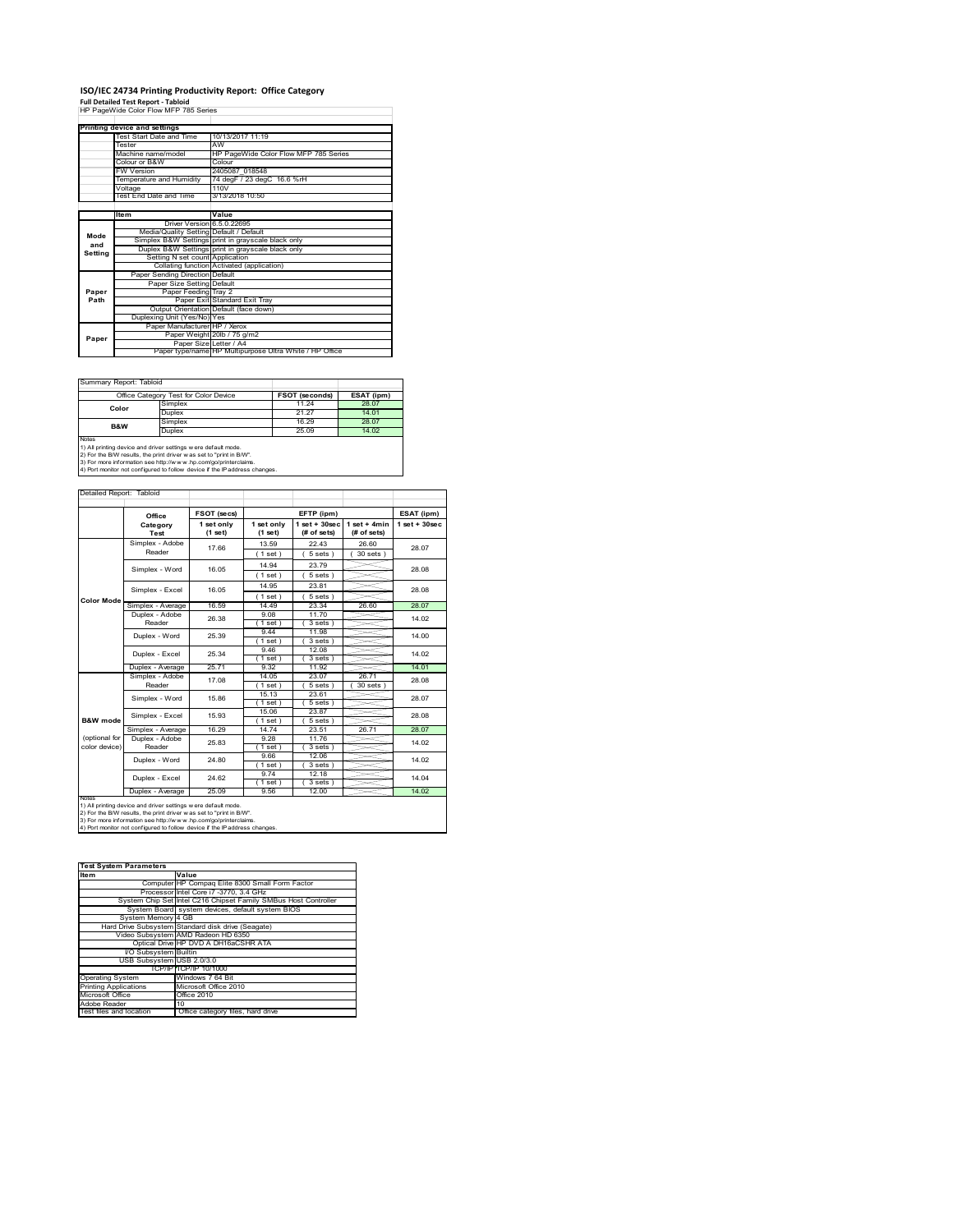# **ISO/IEC 24734 Printing Productivity Report: Office Category Full Detailed Test Report ‐ Tabloid** HP PageWide Color Flow MFP 785 Series

|         | Printing device and settings            |                                                         |  |  |
|---------|-----------------------------------------|---------------------------------------------------------|--|--|
|         | Test Start Date and Time                | 10/13/2017 11:19                                        |  |  |
|         | Tester                                  | AW                                                      |  |  |
|         | Machine name/model                      | HP PageWide Color Flow MFP 785 Series                   |  |  |
|         | Colour or B&W                           | Colour                                                  |  |  |
|         | <b>FW Version</b>                       | 2405087 018548                                          |  |  |
|         | Temperature and Humidity                | 74 degF / 23 degC 16.6 %rH                              |  |  |
|         | Voltage                                 | 110V                                                    |  |  |
|         | Test End Date and Time                  | 3/13/2018 10:50                                         |  |  |
|         |                                         |                                                         |  |  |
|         | Item                                    | Value                                                   |  |  |
|         | Driver Version 6.5.0.22695              |                                                         |  |  |
| Mode    | Media/Quality Setting Default / Default |                                                         |  |  |
| and     |                                         | Simplex B&W Settings print in grayscale black only      |  |  |
| Setting |                                         | Duplex B&W Settings print in grayscale black only       |  |  |
|         | Setting N set count Application         |                                                         |  |  |
|         |                                         | Collating function Activated (application)              |  |  |
|         | Paper Sending Direction Default         |                                                         |  |  |
|         | Paper Size Setting Default              |                                                         |  |  |
| Paper   | Paper Feeding Tray 2                    |                                                         |  |  |
| Path    |                                         | Paper Exit Standard Exit Tray                           |  |  |
|         |                                         | Output Orientation Default (face down)                  |  |  |
|         | Duplexing Unit (Yes/No) Yes             |                                                         |  |  |
|         | Paper Manufacturer HP / Xerox           |                                                         |  |  |
| Paper   |                                         | Paper Weight 20lb / 75 g/m2                             |  |  |
|         | Paper Size Letter / A4                  |                                                         |  |  |
|         |                                         | Paper type/name HP Multipurpose Ultra White / HP Office |  |  |

 $\sim$ 

Summary Report: Tabloi

|                                                                                                                                                                                                                                                                                                 | Office Category Test for Color Device | <b>FSOT (seconds)</b> | ESAT (ipm) |  |
|-------------------------------------------------------------------------------------------------------------------------------------------------------------------------------------------------------------------------------------------------------------------------------------------------|---------------------------------------|-----------------------|------------|--|
| Color                                                                                                                                                                                                                                                                                           | Simplex                               | 11.24                 | 28.07      |  |
|                                                                                                                                                                                                                                                                                                 | <b>Duplex</b>                         | 21.27                 | 14.01      |  |
| <b>B&amp;W</b>                                                                                                                                                                                                                                                                                  | Simplex                               | 16.29                 | 28.07      |  |
|                                                                                                                                                                                                                                                                                                 | <b>Duplex</b>                         | 25.09                 |            |  |
| Notes<br>1) All printing device and driver settings w ere default mode.<br>2) For the B/W results, the print driver was set to "print in B/W".<br>3) For more information see http://www.hp.com/go/printerclaims.<br>4) Port monitor not configured to follow device if the IP address changes. |                                       |                       |            |  |

| Detailed Report: Tabloid       |                           |                       |                       |                                  |                               |                   |
|--------------------------------|---------------------------|-----------------------|-----------------------|----------------------------------|-------------------------------|-------------------|
|                                | Office                    | FSOT (secs)           |                       | EFTP (ipm)                       |                               | ESAT (ipm)        |
|                                | Category<br>Test          | 1 set only<br>(1 set) | 1 set only<br>(1 set) | $1$ set $+30$ sec<br>(# of sets) | $1$ set + 4min<br>(# of sets) | $1$ set $+30$ sec |
|                                | Simplex - Adobe<br>Reader | 17 66                 | 13.59<br>1 set)       | 22 43<br>$5 sets$ )              | 26.60<br>$30$ sets $)$        | 28.07             |
|                                | Simplex - Word            | 16.05                 | 14 94<br>1 set)       | 2379<br>$5 sets$ )               |                               | 28.08             |
| <b>Color Mode</b>              | Simplex - Excel           | 16.05                 | 14.95<br>$1$ set)     | 23.81<br>$5 sets$ )              |                               | 28.08             |
|                                | Simplex - Average         | 16.59                 | 14.49                 | 23.34                            | 26.60                         | 28.07             |
|                                | Duplex - Adobe<br>Reader  | 26.38                 | 9.08<br>$1$ set)      | 11.70<br>3 sets)                 |                               | 14.02             |
|                                | Duplex - Word             | 25.39                 | 944<br>$1$ set $)$    | 11.98<br>$3 sets$ )              |                               | 14.00             |
|                                | Duplex - Excel            | 25.34                 | 9.46<br>$1$ set)      | 12.08<br>$3 sets$ )              |                               | 14.02             |
|                                | Duplex - Average          | 25.71                 | 9.32                  | 11.92                            |                               | 14.01             |
|                                | Simplex - Adobe<br>Reader | 17.08                 | 14.05<br>$1$ set)     | 23.07<br>5 sets                  | 26.71<br>30 sets              | 28.08             |
|                                | Simplex - Word            | 15.86                 | 15.13<br>1 set)       | 23.61<br>$5 sets$ )              |                               | 28.07             |
| B&W mode                       | Simplex - Excel           | 15.93                 | 15.06<br>$1$ set)     | 23.87<br>$5 sets$ )              |                               | 28.08             |
|                                | Simplex - Average         | 16.29                 | 14.74                 | 23.51                            | 26.71                         | 28.07             |
| (optional for<br>color device) | Duplex - Adobe<br>Reader  | 25.83                 | 9.28<br>$1$ set $1$   | 11.76<br>3 sets)                 |                               | 14.02             |
|                                | Duplex - Word             | 24 80                 | 9.66<br>$1$ set)      | 12.06<br>3 sets)                 |                               | 14.02             |
|                                | Duplex - Excel            | 24.62                 | 9.74<br>$1$ set)      | 12.18<br>$3 sets$ )              |                               | 14 04             |
| <b>NOtes</b>                   | Duplex - Average          | 25.09                 | 9.56                  | 12.00                            |                               | 14.02             |

notes<br>1) All printing device and driver settings were default mode.<br>2) For the B/W results, the print driver was set to "print in B/W".<br>3) For more information see http://www.hp.com/go/printerclaims.<br>4) Por morator not con

| <b>Test System Parameters</b> |                                                                 |  |  |
|-------------------------------|-----------------------------------------------------------------|--|--|
| <b>Item</b>                   | Value                                                           |  |  |
|                               | Computer HP Compaq Elite 8300 Small Form Factor                 |  |  |
|                               | Processor Intel Core i7 -3770, 3.4 GHz                          |  |  |
|                               | System Chip Set Intel C216 Chipset Family SMBus Host Controller |  |  |
|                               | System Board system devices, default system BIOS                |  |  |
| System Memory 4 GB            |                                                                 |  |  |
|                               | Hard Drive Subsystem Standard disk drive (Seagate)              |  |  |
|                               | Video Subsystem AMD Radeon HD 6350                              |  |  |
|                               | Optical Drive HP DVD A DH16aCSHR ATA                            |  |  |
| I/O Subsystem Builtin         |                                                                 |  |  |
| USB Subsystem USB 2.0/3.0     |                                                                 |  |  |
|                               | TCP/IPITCP/IP 10/1000                                           |  |  |
| <b>Operating System</b>       | Windows 7 64 Bit                                                |  |  |
| <b>Printing Applications</b>  | Microsoft Office 2010                                           |  |  |
| Microsoft Office              | Office 2010                                                     |  |  |
| Adobe Reader                  | 10                                                              |  |  |
| Test files and location       | Office category files, hard drive                               |  |  |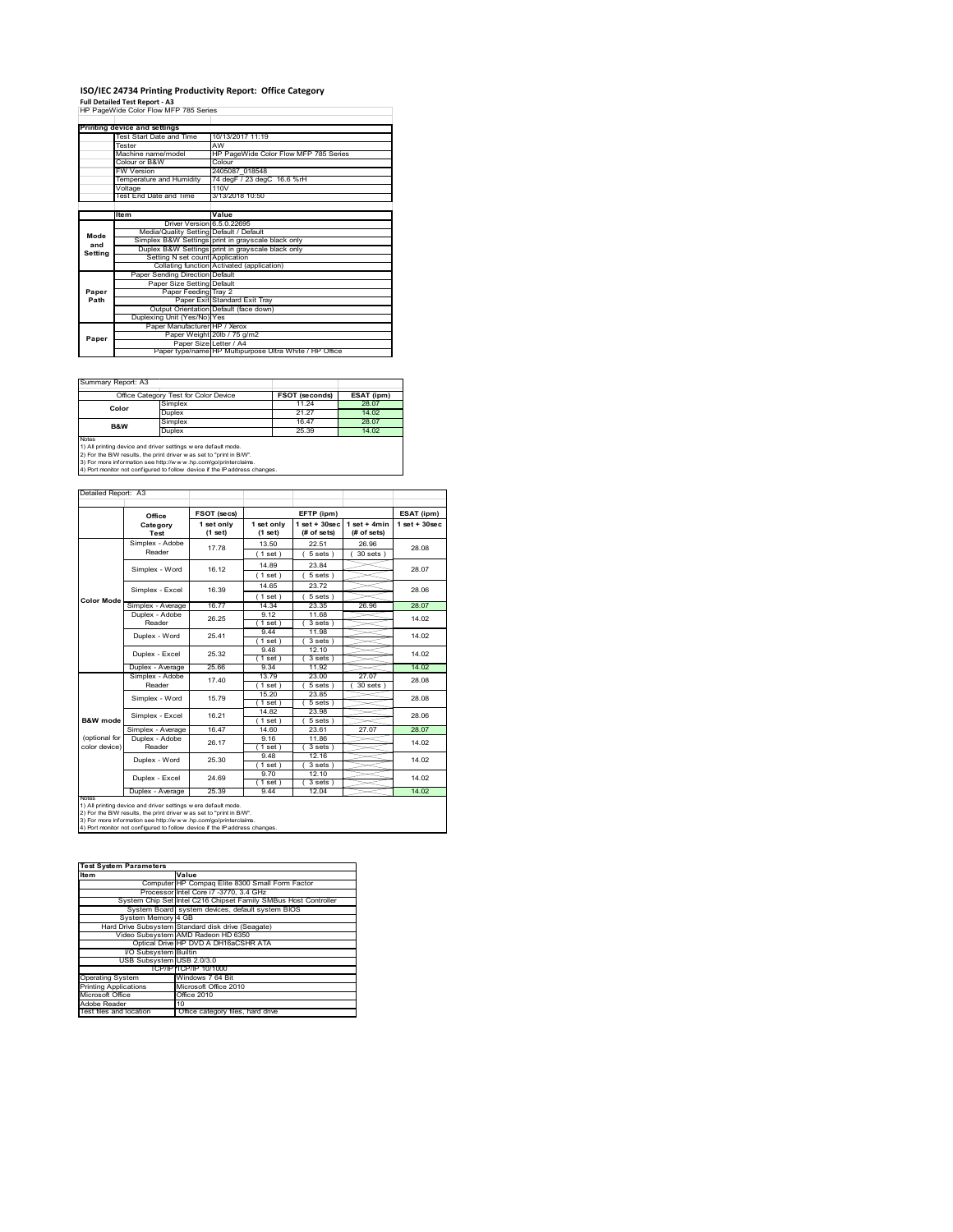## **ISO/IEC 24734 Printing Productivity Report: Office Category**

**Full Detailed Test Report ‐ A3** HP PageWide Color Flow MFP 785 Series

|         | Printing device and settings            |                                                         |  |  |
|---------|-----------------------------------------|---------------------------------------------------------|--|--|
|         | Test Start Date and Time                | 10/13/2017 11:19                                        |  |  |
|         | Tester                                  | AW                                                      |  |  |
|         | Machine name/model                      | HP PageWide Color Flow MFP 785 Series                   |  |  |
|         | Colour or B&W                           | Colour                                                  |  |  |
|         | <b>FW Version</b>                       | 2405087 018548                                          |  |  |
|         | Temperature and Humidity                | 74 degF / 23 degC 16.6 %rH                              |  |  |
|         | Voltage                                 | 110V                                                    |  |  |
|         | Test End Date and Time                  | 3/13/2018 10:50                                         |  |  |
|         |                                         |                                                         |  |  |
|         | Item                                    | Value                                                   |  |  |
|         | Driver Version 6.5.0.22695              |                                                         |  |  |
| Mode    | Media/Quality Setting Default / Default |                                                         |  |  |
| and     |                                         | Simplex B&W Settings print in grayscale black only      |  |  |
| Setting |                                         | Duplex B&W Settings print in grayscale black only       |  |  |
|         | Setting N set count Application         |                                                         |  |  |
|         |                                         | Collating function Activated (application)              |  |  |
|         | Paper Sending Direction Default         |                                                         |  |  |
|         | Paper Size Setting Default              |                                                         |  |  |
| Paper   | Paper Feeding Tray 2                    |                                                         |  |  |
| Path    |                                         | Paper Exit Standard Exit Tray                           |  |  |
|         |                                         | Output Orientation Default (face down)                  |  |  |
|         | Duplexing Unit (Yes/No) Yes             |                                                         |  |  |
|         | Paper Manufacturer HP / Xerox           |                                                         |  |  |
| Paper   |                                         | Paper Weight 20lb / 75 g/m2                             |  |  |
|         | Paper Size Letter / A4                  |                                                         |  |  |
|         |                                         | Paper type/name HP Multipurpose Ultra White / HP Office |  |  |

 $\sim$ 

Summary Report: A3

| $U$ ullilleiv includit. Av                                                                                                                            |                                       |                       |            |  |  |  |
|-------------------------------------------------------------------------------------------------------------------------------------------------------|---------------------------------------|-----------------------|------------|--|--|--|
|                                                                                                                                                       | Office Category Test for Color Device | <b>FSOT (seconds)</b> | ESAT (ipm) |  |  |  |
| Color                                                                                                                                                 | Simplex                               | 11 24                 | 28.07      |  |  |  |
|                                                                                                                                                       | Duplex                                | 21.27                 | 14.02      |  |  |  |
| B&W                                                                                                                                                   | Simplex                               | 1647                  | 28.07      |  |  |  |
|                                                                                                                                                       | Duplex                                | 25.39                 | 14.02      |  |  |  |
| <b>Notes</b><br>1) All printing device and driver settings w ere default mode.<br>2) For the B/W results, the print driver was set to "print in B/W". |                                       |                       |            |  |  |  |

2) For the B/W results, the print driver w as set to "print in B/W".<br>3) For more information see http://w w w .hp.com/go/printerclaims.<br>4) Port monitor not configured to follow device if the IP address changes.

| Detailed Report: A3            |                           |                         |                       |                                 |                               |                    |
|--------------------------------|---------------------------|-------------------------|-----------------------|---------------------------------|-------------------------------|--------------------|
|                                | Office                    | FSOT (secs)             |                       | EFTP (ipm)                      |                               | ESAT (ipm)         |
|                                | Category<br>Test          | 1 set only<br>$(1$ set) | 1 set only<br>(1 set) | $1 set + 30 sec$<br>(# of sets) | $1$ set + 4min<br>(# of sets) | $1$ set + $30$ sec |
|                                | Simplex - Adobe<br>Reader | 17.78                   | 13.50<br>(1 set)      | 22.51<br>5 sets)                | 26.96<br>$30$ sets $)$        | 28.08              |
|                                | Simplex - Word            | 16.12                   | 14 89<br>(1 set)      | 23.84<br>5 sets)                |                               | 28.07              |
|                                | Simplex - Excel           | 16.39                   | 14 65<br>(1 set)      | 23.72<br>5 sets                 |                               | 28.06              |
| <b>Color Mode</b>              | Simplex - Average         | 16.77                   | 14.34                 | 23.35                           | 26.96                         | 28.07              |
|                                | Duplex - Adobe<br>Reader  | 26.25                   | 9 12<br>(1 set)       | 11.68<br>3 sets)                |                               | 14.02              |
|                                | Duplex - Word             | 2541                    | 944<br>$1$ set)       | 11 98<br>3 sets)                |                               | 14.02              |
|                                | Duplex - Excel            | 25.32                   | 9.48<br>$1$ set)      | 12.10<br>3 sets                 |                               | 14.02              |
|                                | Duplex - Average          | 25.66                   | 9.34                  | 11.92                           |                               | 14.02              |
|                                | Simplex - Adobe<br>Reader | 17.40                   | 1379<br>(1 set)       | 23.00<br>5 sets                 | 27.07<br>30 sets              | 28.08              |
|                                | Simplex - Word            | 15.79                   | 15.20<br>(1 set)      | 23.85<br>$5 sets$ )             |                               | 28.08              |
| <b>B&amp;W</b> mode            | Simplex - Excel           | 16 21                   | 14.82<br>(1 set)      | 23.98<br>5 sets)                |                               | 28.06              |
|                                | Simplex - Average         | 16.47                   | 14.60                 | 23.61                           | 27.07                         | 28.07              |
| (optional for<br>color device) | Duplex - Adobe<br>Reader  | 26.17                   | 916<br>(1 set)        | 11.86<br>3 sets)                |                               | 14.02              |
|                                | Duplex - Word             | 25.30                   | 948<br>(1 set)        | 12 16<br>3 sets)                |                               | 14.02              |
|                                | Duplex - Excel            | 24.69                   | 970<br>(1 set)        | 1210<br>$3 sets$ )              |                               | 14.02              |
|                                | Duplex - Average          | 25.39                   | 9.44                  | 12.04                           |                               | 14.02              |
| <b>NOtes</b>                   |                           |                         |                       |                                 |                               |                    |

notes<br>1) All printing device and driver settings were default mode.<br>2) For the B/W results, the print driver was set to "print in B/W".<br>3) For more information see http://www.hp.com/go/printerclaims.<br>4) Por monitor not con

| <b>Test System Parameters</b> |                                                                 |  |  |  |
|-------------------------------|-----------------------------------------------------------------|--|--|--|
| <b>Item</b>                   | Value                                                           |  |  |  |
|                               | Computer HP Compag Elite 8300 Small Form Factor                 |  |  |  |
|                               | Processor Intel Core i7 -3770, 3.4 GHz                          |  |  |  |
|                               | System Chip Set Intel C216 Chipset Family SMBus Host Controller |  |  |  |
|                               | System Board system devices, default system BIOS                |  |  |  |
| System Memory 4 GB            |                                                                 |  |  |  |
|                               | Hard Drive Subsystem Standard disk drive (Seagate)              |  |  |  |
|                               | Video Subsystem AMD Radeon HD 6350                              |  |  |  |
|                               | Optical Drive HP DVD A DH16aCSHR ATA                            |  |  |  |
| I/O Subsystem Builtin         |                                                                 |  |  |  |
| USB Subsystem USB 2.0/3.0     |                                                                 |  |  |  |
|                               | TCP/IPITCP/IP 10/1000                                           |  |  |  |
| <b>Operating System</b>       | Windows 7 64 Bit                                                |  |  |  |
| <b>Printing Applications</b>  | Microsoft Office 2010                                           |  |  |  |
| Microsoft Office              | Office 2010                                                     |  |  |  |
| Adobe Reader                  | 10                                                              |  |  |  |
| Test files and location       | Office category files, hard drive                               |  |  |  |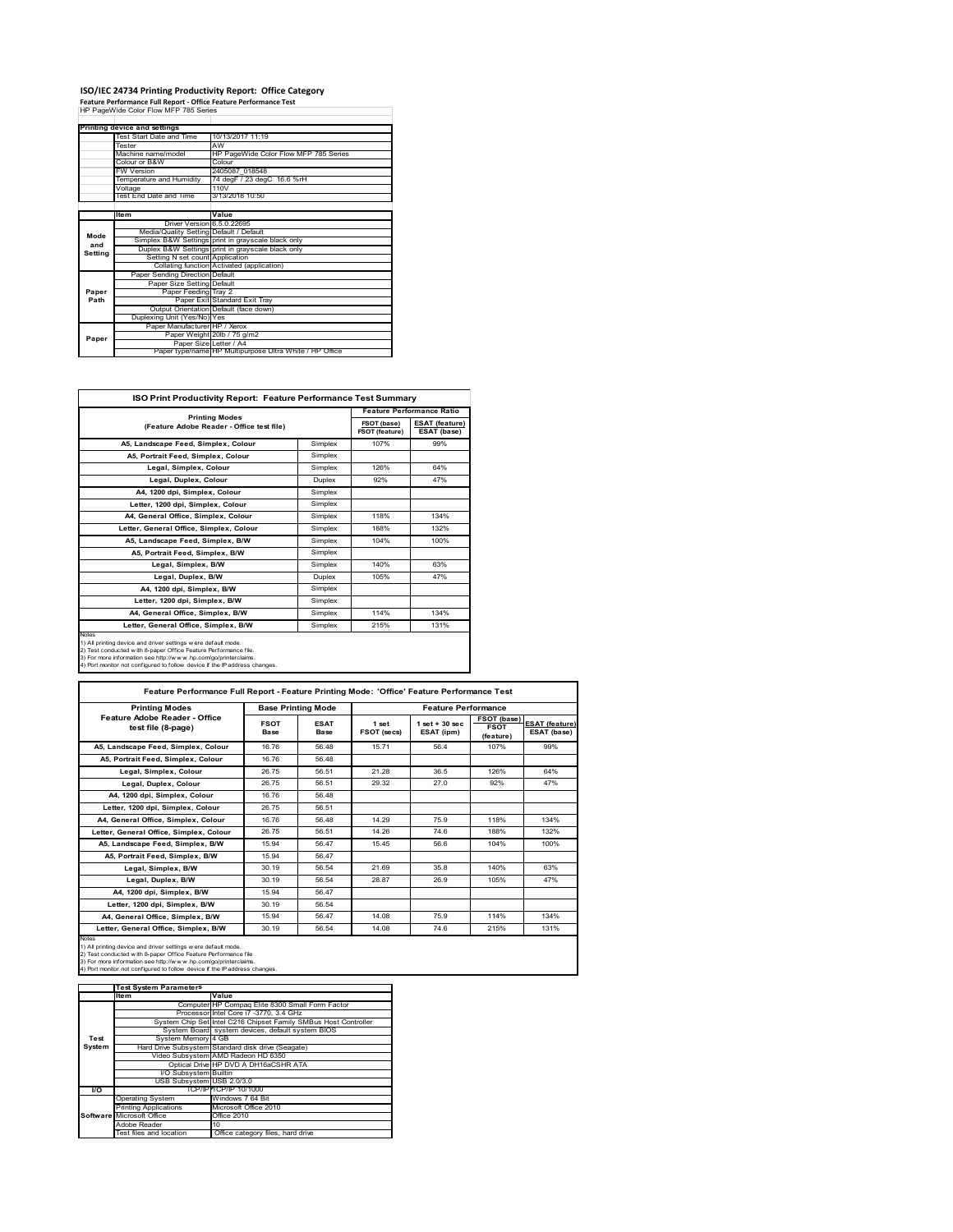# **ISO/IEC 24734 Printing Productivity Report: Office Category Feature Performance Full Report ‐ Office Feature Performance Test** HP PageWide Color Flow MFP 785 Series

| . catule reflormance run Report - Office reature reflormance rest<br>HP PageWide Color Flow MFP 785 Series |                                         |                                                         |  |  |
|------------------------------------------------------------------------------------------------------------|-----------------------------------------|---------------------------------------------------------|--|--|
|                                                                                                            |                                         |                                                         |  |  |
|                                                                                                            | Printing device and settings            |                                                         |  |  |
|                                                                                                            | Test Start Date and Time                | 10/13/2017 11:19                                        |  |  |
|                                                                                                            | Tester                                  | AW                                                      |  |  |
|                                                                                                            | Machine name/model                      | HP PageWide Color Flow MFP 785 Series                   |  |  |
|                                                                                                            | Colour or B&W                           | Colour                                                  |  |  |
|                                                                                                            | <b>FW Version</b>                       | 2405087 018548                                          |  |  |
|                                                                                                            | Temperature and Humidity                | 74 degF / 23 degC 16.6 %rH                              |  |  |
|                                                                                                            | Voltage                                 | 110V                                                    |  |  |
|                                                                                                            | Test End Date and Time                  | 3/13/2018 10:50                                         |  |  |
|                                                                                                            |                                         |                                                         |  |  |
|                                                                                                            | <b>Item</b>                             | Value                                                   |  |  |
|                                                                                                            | Driver Version 6.5.0.22695              |                                                         |  |  |
| Mode                                                                                                       | Media/Quality Setting Default / Default |                                                         |  |  |
| and                                                                                                        |                                         | Simplex B&W Settings print in grayscale black only      |  |  |
| Setting                                                                                                    |                                         | Duplex B&W Settings print in grayscale black only       |  |  |
|                                                                                                            | Setting N set count Application         |                                                         |  |  |
|                                                                                                            |                                         | Collating function Activated (application)              |  |  |
|                                                                                                            | Paper Sending Direction Default         |                                                         |  |  |
|                                                                                                            | Paper Size Setting Default              |                                                         |  |  |
| Paper                                                                                                      | Paper Feeding Tray 2                    |                                                         |  |  |
| Path                                                                                                       |                                         | Paper Exit Standard Exit Tray                           |  |  |
|                                                                                                            |                                         | Output Orientation Default (face down)                  |  |  |
|                                                                                                            | Duplexing Unit (Yes/No) Yes             |                                                         |  |  |
|                                                                                                            | Paper Manufacturer HP / Xerox           |                                                         |  |  |
| Paper                                                                                                      |                                         | Paper Weight 20lb / 75 g/m2                             |  |  |
|                                                                                                            | Paper Size Letter / A4                  |                                                         |  |  |
|                                                                                                            |                                         | Paper type/name HP Multipurpose Ultra White / HP Office |  |  |

| ISO Print Productivity Report: Feature Performance Test Summary                                                                                                                                                                                                                             |                       |                                      |                                      |  |  |
|---------------------------------------------------------------------------------------------------------------------------------------------------------------------------------------------------------------------------------------------------------------------------------------------|-----------------------|--------------------------------------|--------------------------------------|--|--|
|                                                                                                                                                                                                                                                                                             | <b>Printing Modes</b> |                                      | <b>Feature Performance Ratio</b>     |  |  |
| (Feature Adobe Reader - Office test file)                                                                                                                                                                                                                                                   |                       | FSOT (base)<br><b>FSOT (feature)</b> | <b>ESAT (feature)</b><br>ESAT (base) |  |  |
| A5, Landscape Feed, Simplex, Colour                                                                                                                                                                                                                                                         | Simplex               | 107%                                 | 99%                                  |  |  |
| A5. Portrait Feed. Simplex. Colour                                                                                                                                                                                                                                                          | Simplex               |                                      |                                      |  |  |
| Legal, Simplex, Colour                                                                                                                                                                                                                                                                      | Simplex               | 126%                                 | 64%                                  |  |  |
| Legal, Duplex, Colour                                                                                                                                                                                                                                                                       | <b>Duplex</b>         | 92%                                  | 47%                                  |  |  |
| A4, 1200 dpi, Simplex, Colour                                                                                                                                                                                                                                                               | Simplex               |                                      |                                      |  |  |
| Letter, 1200 dpi, Simplex, Colour                                                                                                                                                                                                                                                           | Simplex               |                                      |                                      |  |  |
| A4, General Office, Simplex, Colour                                                                                                                                                                                                                                                         | Simplex               | 118%                                 | 134%                                 |  |  |
| Letter, General Office, Simplex, Colour                                                                                                                                                                                                                                                     | Simplex               | 188%                                 | 132%                                 |  |  |
| A5, Landscape Feed, Simplex, B/W                                                                                                                                                                                                                                                            | Simplex               | 104%                                 | 100%                                 |  |  |
| A5, Portrait Feed, Simplex, B/W                                                                                                                                                                                                                                                             | Simplex               |                                      |                                      |  |  |
| Legal, Simplex, B/W                                                                                                                                                                                                                                                                         | Simplex               | 140%                                 | 63%                                  |  |  |
| Legal, Duplex, B/W                                                                                                                                                                                                                                                                          | <b>Duplex</b>         | 105%                                 | 47%                                  |  |  |
| A4, 1200 dpi, Simplex, B/W                                                                                                                                                                                                                                                                  | Simplex               |                                      |                                      |  |  |
| Letter, 1200 dpi, Simplex, B/W                                                                                                                                                                                                                                                              | Simplex               |                                      |                                      |  |  |
| A4. General Office. Simplex. B/W                                                                                                                                                                                                                                                            | Simplex               | 114%                                 | 134%                                 |  |  |
| Letter, General Office, Simplex, B/W                                                                                                                                                                                                                                                        | Simplex               | 215%                                 | 131%                                 |  |  |
| Notes<br>1) All printing device and driver settings w ere default mode.<br>2) Test conducted with 8-paper Office Feature Performance file.<br>3) For more information see http://www.hp.com/go/printerclaims.<br>4) Port monitor not configured to follow device if the IP address changes. |                       |                                      |                                      |  |  |

| <b>Printing Modes</b>                               | <b>Base Printing Mode</b>  |                            |                             | <b>Feature Performance</b>       |                                         |                                      |
|-----------------------------------------------------|----------------------------|----------------------------|-----------------------------|----------------------------------|-----------------------------------------|--------------------------------------|
| Feature Adobe Reader - Office<br>test file (8-page) | <b>FSOT</b><br><b>Base</b> | <b>ESAT</b><br><b>Base</b> | 1 set<br><b>FSOT (secs)</b> | $1$ set $+30$ sec.<br>ESAT (ipm) | FSOT (base)<br><b>FSOT</b><br>(feature) | <b>ESAT (feature)</b><br>ESAT (base) |
| A5. Landscape Feed. Simplex. Colour                 | 1676                       | 56 48                      | 1571                        | 564                              | 107%                                    | 99%                                  |
| A5, Portrait Feed, Simplex, Colour                  | 1676                       | 56 48                      |                             |                                  |                                         |                                      |
| Legal, Simplex, Colour                              | 2675                       | 56.51                      | 21.28                       | 36.5                             | 126%                                    | 64%                                  |
| Legal, Duplex, Colour                               | 26.75                      | 56.51                      | 29.32                       | 27 O                             | 92%                                     | 47%                                  |
| A4, 1200 dpi, Simplex, Colour                       | 1676                       | 56 48                      |                             |                                  |                                         |                                      |
| Letter, 1200 dpi, Simplex, Colour                   | 2675                       | 56.51                      |                             |                                  |                                         |                                      |
| A4. General Office. Simplex. Colour                 | 1676                       | 56 48                      | 14 29                       | 75.9                             | 118%                                    | 134%                                 |
| Letter, General Office, Simplex, Colour             | 26.75                      | 56.51                      | 14.26                       | 74 6                             | 188%                                    | 132%                                 |
| A5. Landscape Feed. Simplex. B/W                    | 15 94                      | 56 47                      | 15 45                       | 56.6                             | 104%                                    | 100%                                 |
| A5. Portrait Feed. Simplex. B/W                     | 15.94                      | 56 47                      |                             |                                  |                                         |                                      |
| Legal, Simplex, B/W                                 | 30 19                      | 56.54                      | 21.69                       | 35.8                             | 140%                                    | 63%                                  |
| Legal, Duplex, B/W                                  | 30.19                      | 56.54                      | 28.87                       | 26.9                             | 105%                                    | 47%                                  |
| A4. 1200 dpi. Simplex. B/W                          | 15.94                      | 56 47                      |                             |                                  |                                         |                                      |
| Letter, 1200 dpi, Simplex, B/W                      | 30 19                      | 56.54                      |                             |                                  |                                         |                                      |
| A4, General Office, Simplex, B/W                    | 15 94                      | 56 47                      | 14 08                       | 75.9                             | 114%                                    | 134%                                 |
| Letter, General Office, Simplex, B/W                | 30.19                      | 56.54                      | 14.08                       | 74.6                             | 215%                                    | 131%                                 |

Notes<br>1) All printing device and driver settings were default mode.<br>2) Test conducted with 8-paper Office Feature Performance file<br>3) For more information see http://www.hp.com/go/printerclaims.<br>4) Por monitor not configur

|           | <b>Test System Parameters</b> |                                                                 |
|-----------|-------------------------------|-----------------------------------------------------------------|
|           | lte m                         | Value                                                           |
|           |                               | Computer HP Compaq Elite 8300 Small Form Factor                 |
|           |                               | Processor Intel Core i7 -3770, 3.4 GHz                          |
|           |                               | System Chip Set Intel C216 Chipset Family SMBus Host Controller |
|           |                               | System Board system devices, default system BIOS                |
| Test      | System Memory 4 GB            |                                                                 |
| System    |                               | Hard Drive Subsystem Standard disk drive (Seagate)              |
|           |                               | Video Subsystem AMD Radeon HD 6350                              |
|           |                               | Optical Drive HP DVD A DH16aCSHR ATA                            |
|           | I/O Subsystem Builtin         |                                                                 |
|           | USB Subsystem USB 2.0/3.0     |                                                                 |
| <b>VO</b> |                               | TCP/IPITCP/IP 10/1000                                           |
|           | <b>Operating System</b>       | Windows 7 64 Bit                                                |
|           | <b>Printing Applications</b>  | Microsoft Office 2010                                           |
|           | Software Microsoft Office     | Office 2010                                                     |
|           | Adobe Reader                  | 10                                                              |
|           | Test files and location       | Office category files, hard drive                               |
|           |                               |                                                                 |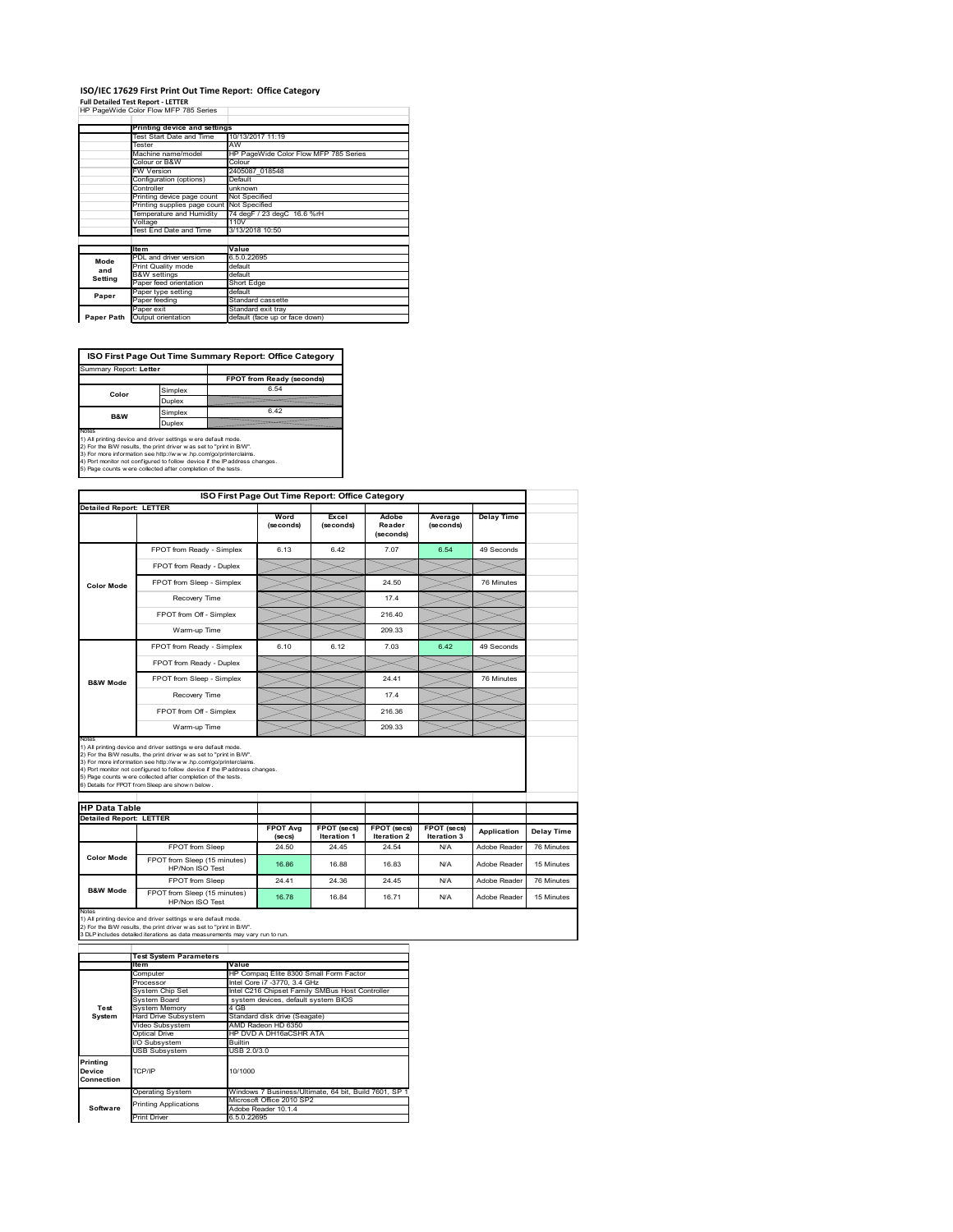### **ISO/IEC 17629 First Print Out Time Report: Office Category Full Detailed Test Report ‐ LETTER** HP PageWide Color Flow MFP 785 Series

|            | HF FAUCWIUC COIOI FIUW INFF 763 SCIICS |                                       |  |  |
|------------|----------------------------------------|---------------------------------------|--|--|
|            |                                        |                                       |  |  |
|            | Printing device and settings           |                                       |  |  |
|            | <b>Test Start Date and Time</b>        | 10/13/2017 11:19                      |  |  |
|            | Tester                                 | AW                                    |  |  |
|            | Machine name/model                     | HP PageWide Color Flow MFP 785 Series |  |  |
|            | Colour or B&W                          | Colour                                |  |  |
|            | FW Version                             | 2405087 018548                        |  |  |
|            | Configuration (options)                | Default                               |  |  |
|            | Controller                             | unknown                               |  |  |
|            | Printing device page count             | Not Specified                         |  |  |
|            | Printing supplies page count           | Not Specified                         |  |  |
|            | Temperature and Humidity               | 74 degF / 23 degC 16.6 %rH            |  |  |
|            | Voltage                                | 110V                                  |  |  |
|            | Test End Date and Time                 | 3/13/2018 10:50                       |  |  |
|            |                                        |                                       |  |  |
|            | <b>Item</b>                            | Value                                 |  |  |
| Mode       | PDL and driver version                 | 6.5.0.22695                           |  |  |
| and        | Print Quality mode                     | default                               |  |  |
| Setting    | <b>B&amp;W</b> settings                | default                               |  |  |
|            | Paper feed orientation                 | Short Edge                            |  |  |
| Paper      | Paper type setting                     | default                               |  |  |
|            | Paper feeding                          | Standard cassette                     |  |  |
|            | Paper exit                             | Standard exit tray                    |  |  |
| Paper Path | Output orientation                     | default (face up or face down)        |  |  |
|            |                                        |                                       |  |  |

**ISO First Page Out Time Summary Report: Office Category**

| Summary Report: Letter |         |                           |
|------------------------|---------|---------------------------|
|                        |         | FPOT from Ready (seconds) |
| Color                  | Simplex | 6.54                      |
|                        | Duplex  |                           |
| B&W                    | Simplex | 6.42                      |
|                        | Duplex  |                           |
| Notes                  |         |                           |

Notes<br>1) All printing device and driver settings were default mode.<br>2) For the BW results, the print driver was set to "print in BW".<br>3) For more information see http://www.hp.com/golprinterclaims.<br>4) Port montor not confi

|                                                        |                                                                                                                                                                                                                                                                                                                                                                                                             | ISO First Page Out Time Report: Office Category |                            |                                   |                            |                   |
|--------------------------------------------------------|-------------------------------------------------------------------------------------------------------------------------------------------------------------------------------------------------------------------------------------------------------------------------------------------------------------------------------------------------------------------------------------------------------------|-------------------------------------------------|----------------------------|-----------------------------------|----------------------------|-------------------|
| <b>Detailed Report: LETTER</b>                         |                                                                                                                                                                                                                                                                                                                                                                                                             | Word<br>(seconds)                               | Excel<br>(seconds)         | Adobe<br>Reader<br>(seconds)      | Average<br>(seconds)       | <b>Delay Time</b> |
|                                                        | FPOT from Ready - Simplex                                                                                                                                                                                                                                                                                                                                                                                   | 6.13                                            | 6.42                       | 7.07                              | 6.54                       | 49 Seconds        |
|                                                        | FPOT from Ready - Duplex                                                                                                                                                                                                                                                                                                                                                                                    |                                                 |                            |                                   |                            |                   |
| <b>Color Mode</b>                                      | FPOT from Sleep - Simplex                                                                                                                                                                                                                                                                                                                                                                                   |                                                 |                            | 24.50                             |                            | 76 Minutes        |
|                                                        | Recovery Time                                                                                                                                                                                                                                                                                                                                                                                               |                                                 |                            | 17.4                              |                            |                   |
|                                                        | FPOT from Off - Simplex                                                                                                                                                                                                                                                                                                                                                                                     |                                                 |                            | 216.40                            |                            |                   |
|                                                        | Warm-up Time                                                                                                                                                                                                                                                                                                                                                                                                |                                                 |                            | 209.33                            |                            |                   |
|                                                        | FPOT from Ready - Simplex                                                                                                                                                                                                                                                                                                                                                                                   | 6.10                                            | 6.12                       | 7.03                              | 6.42                       | 49 Seconds        |
|                                                        | FPOT from Ready - Duplex                                                                                                                                                                                                                                                                                                                                                                                    |                                                 |                            |                                   |                            |                   |
| <b>B&amp;W Mode</b>                                    | FPOT from Sleep - Simplex                                                                                                                                                                                                                                                                                                                                                                                   |                                                 |                            | 24.41                             |                            | 76 Minutes        |
|                                                        | Recovery Time                                                                                                                                                                                                                                                                                                                                                                                               |                                                 |                            | 17.4                              |                            |                   |
|                                                        | FPOT from Off - Simplex                                                                                                                                                                                                                                                                                                                                                                                     |                                                 |                            | 216.36                            |                            |                   |
|                                                        | Warm-up Time                                                                                                                                                                                                                                                                                                                                                                                                |                                                 |                            | 209.33                            |                            |                   |
| Notes                                                  |                                                                                                                                                                                                                                                                                                                                                                                                             |                                                 |                            |                                   |                            |                   |
|                                                        | 1) All printing device and driver settings w ere default mode.<br>2) For the B/W results, the print driver was set to "print in B/W".<br>3) For more information see http://www.hp.com/go/printerclaims.<br>4) Port monitor not configured to follow device if the IP address changes.<br>5) Page counts w ere collected after completion of the tests.<br>6) Details for FPOT from Sleep are show n below. |                                                 |                            |                                   |                            |                   |
| <b>HP Data Table</b><br><b>Detailed Report: LETTER</b> |                                                                                                                                                                                                                                                                                                                                                                                                             |                                                 |                            |                                   |                            |                   |
|                                                        |                                                                                                                                                                                                                                                                                                                                                                                                             | <b>FPOT Avg</b><br>(se cs)                      | FPOT (secs)<br>Iteration 1 | <b>FPOT (secs)</b><br>Iteration 2 | FPOT (secs)<br>Iteration 3 | Application       |
|                                                        | FPOT from Sleep                                                                                                                                                                                                                                                                                                                                                                                             | 24.50                                           | 24.45                      | 24.54                             | N/A                        | Adobe Reader      |
| <b>Color Mode</b>                                      | FPOT from Sleep (15 minutes)<br>HP/Non ISO Test                                                                                                                                                                                                                                                                                                                                                             | 16.86                                           | 16.88                      | 16.83                             | N/A                        | Adobe Reader      |
| <b>B&amp;W Mode</b>                                    | <b>FPOT</b> from Sleep                                                                                                                                                                                                                                                                                                                                                                                      | 24 41                                           | 24.36                      | 24 45                             | N/A                        | Adobe Reader      |

Notes<br>1) All printing device and driver settings w ere default mode.<br>2) For the B/W results, the print driver w as set to "print in B/W".<br>3 DLP includes detailed iterations as data measurements may vary run to run.

|                                  | <b>Test System Parameters</b> |                                                       |  |  |
|----------------------------------|-------------------------------|-------------------------------------------------------|--|--|
|                                  | Item                          | Value                                                 |  |  |
|                                  | Computer                      | HP Compaq Elite 8300 Small Form Factor                |  |  |
|                                  | Processor                     | Intel Core i7 -3770, 3.4 GHz                          |  |  |
|                                  | System Chip Set               | Intel C216 Chipset Family SMBus Host Controller       |  |  |
|                                  | System Board                  | system devices, default system BIOS                   |  |  |
| Test                             | <b>System Memory</b>          | 4 GB                                                  |  |  |
| System                           | Hard Drive Subsystem          | Standard disk drive (Seagate)                         |  |  |
|                                  | Video Subsystem               | AMD Radeon HD 6350                                    |  |  |
|                                  | Optical Drive                 | HP DVD A DH16aCSHR ATA                                |  |  |
|                                  | I/O Subsystem                 | <b>Builtin</b>                                        |  |  |
|                                  | <b>USB Subsystem</b>          | USB 2.0/3.0                                           |  |  |
| Printing<br>Device<br>Connection | TCP/IP<br>10/1000             |                                                       |  |  |
|                                  | <b>Operating System</b>       | Windows 7 Business/Ultimate, 64 bit, Build 7601, SP 1 |  |  |
|                                  | <b>Printing Applications</b>  | Microsoft Office 2010 SP2                             |  |  |
| Software                         |                               | Adobe Reader 10.1.4                                   |  |  |
|                                  | Print Driver                  | 6.5.0.22695                                           |  |  |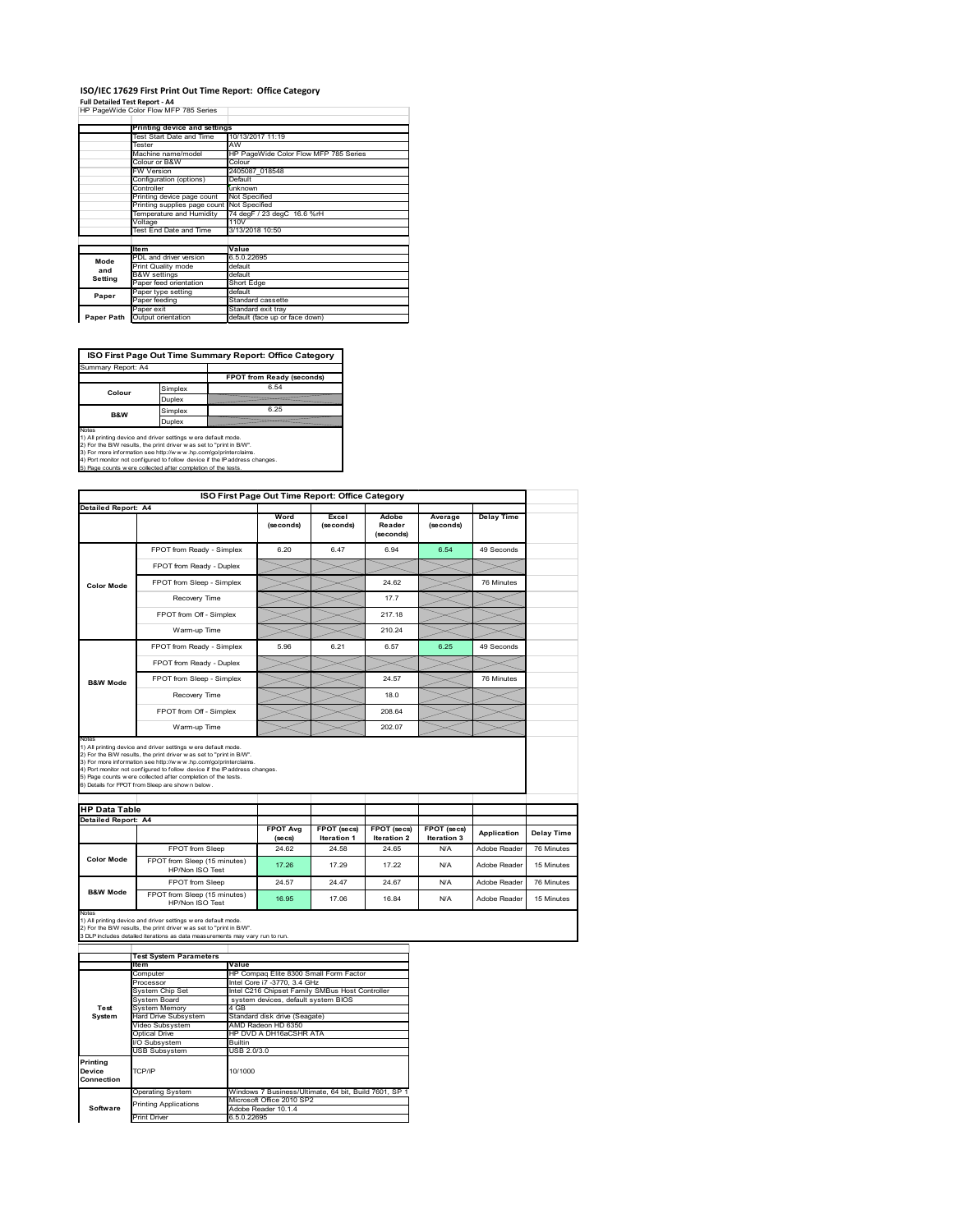# **ISO/IEC 17629 First Print Out Time Report: Office Category**

**Full Detailed Test Report ‐ A4** HP PageWide Color Flow MFP 785 Series

|            | Printing device and settings |                                       |
|------------|------------------------------|---------------------------------------|
|            | Test Start Date and Time     | 10/13/2017 11:19                      |
|            | Tester                       | AW                                    |
|            | Machine name/model           | HP PageWide Color Flow MFP 785 Series |
|            | Colour or B&W                | Colour                                |
|            | FW Version                   | 2405087 018548                        |
|            | Configuration (options)      | Default                               |
|            | Controller                   | unknown                               |
|            | Printing device page count   | Not Specified                         |
|            | Printing supplies page count | Not Specified                         |
|            | Temperature and Humidity     | 74 degF / 23 degC 16.6 %rH            |
|            | Voltage                      | 110V                                  |
|            | Test End Date and Time       | 3/13/2018 10:50                       |
|            |                              |                                       |
|            | <b>Item</b>                  | Value                                 |
| Mode       | PDL and driver version       | 6.5.0.22695                           |
| and        | Print Quality mode           | default                               |
| Setting    | <b>B&amp;W</b> settings      | default                               |
|            | Paper feed orientation       | Short Edge                            |
| Paper      | Paper type setting           | default                               |
|            | Paper feeding                | Standard cassette                     |
|            | Paper exit                   | Standard exit tray                    |
| Paper Path | Output orientation           | default (face up or face down)        |

**ISO First Page Out Time Summary Report: Office Category**

| Summary Report: A4 |         |                           |
|--------------------|---------|---------------------------|
|                    |         | FPOT from Ready (seconds) |
| Colour             | Simplex | 6.54                      |
|                    | Duplex  |                           |
| B&W                | Simplex | 6.25                      |
|                    | Duplex  |                           |
|                    |         |                           |

Notes<br>1) All printing device and driver settings were default mode.<br>2) For the BAV results, the print driver was set to "print in BAV".<br>3) For more information see http://www.hp.com/golprinterclaims.<br>4) Port monitor not co

|                                                             |                                                                                                                                                                                                                                                                                                                                                                                                             | ISO First Page Out Time Report: Office Category |                                   |                              |                            |                   |
|-------------------------------------------------------------|-------------------------------------------------------------------------------------------------------------------------------------------------------------------------------------------------------------------------------------------------------------------------------------------------------------------------------------------------------------------------------------------------------------|-------------------------------------------------|-----------------------------------|------------------------------|----------------------------|-------------------|
| Detailed Report: A4                                         |                                                                                                                                                                                                                                                                                                                                                                                                             | Word<br>(seconds)                               | Excel<br>(seconds)                | Adobe<br>Reader<br>(seconds) | Average<br>(seconds)       | <b>Delay Time</b> |
|                                                             | FPOT from Ready - Simplex                                                                                                                                                                                                                                                                                                                                                                                   | 6.20                                            | 647                               | 6.94                         | 6.54                       | 49 Seconds        |
| <b>Color Mode</b>                                           | FPOT from Ready - Duplex                                                                                                                                                                                                                                                                                                                                                                                    |                                                 |                                   |                              |                            |                   |
|                                                             | FPOT from Sleep - Simplex                                                                                                                                                                                                                                                                                                                                                                                   |                                                 |                                   | 24.62                        |                            | 76 Minutes        |
|                                                             | Recovery Time                                                                                                                                                                                                                                                                                                                                                                                               |                                                 |                                   | 17.7                         |                            |                   |
|                                                             | FPOT from Off - Simplex                                                                                                                                                                                                                                                                                                                                                                                     |                                                 |                                   | 217.18                       |                            |                   |
|                                                             | Warm-up Time                                                                                                                                                                                                                                                                                                                                                                                                |                                                 |                                   | 210.24                       |                            |                   |
|                                                             | FPOT from Ready - Simplex                                                                                                                                                                                                                                                                                                                                                                                   | 5.96                                            | 6.21                              | 6.57                         | 6.25                       | 49 Seconds        |
|                                                             | FPOT from Ready - Duplex                                                                                                                                                                                                                                                                                                                                                                                    |                                                 |                                   |                              |                            |                   |
| <b>B&amp;W Mode</b>                                         | FPOT from Sleep - Simplex                                                                                                                                                                                                                                                                                                                                                                                   |                                                 |                                   | 24.57                        |                            | 76 Minutes        |
|                                                             | Recovery Time                                                                                                                                                                                                                                                                                                                                                                                               |                                                 |                                   | 18.0                         |                            |                   |
|                                                             |                                                                                                                                                                                                                                                                                                                                                                                                             |                                                 |                                   |                              |                            |                   |
|                                                             | FPOT from Off - Simplex                                                                                                                                                                                                                                                                                                                                                                                     |                                                 |                                   | 208.64                       |                            |                   |
|                                                             | Warm-up Time                                                                                                                                                                                                                                                                                                                                                                                                |                                                 |                                   | 202.07                       |                            |                   |
| Notes<br><b>HP Data Table</b><br><b>Detailed Report: A4</b> | 1) All printing device and driver settings w ere default mode.<br>2) For the B/W results, the print driver was set to "print in B/W".<br>3) For more information see http://www.hp.com/go/printerclaims.<br>4) Port monitor not configured to follow device if the IP address changes.<br>5) Page counts w ere collected after completion of the tests.<br>6) Details for FPOT from Sleep are show n below. | <b>FPOT Avg</b><br>(se cs)                      | FPOT (secs)<br><b>Iteration 1</b> | FPOT (secs)<br>Iteration 2   | FPOT (secs)<br>Iteration 3 | Application       |
|                                                             | FPOT from Sleep                                                                                                                                                                                                                                                                                                                                                                                             | 24.62                                           | 24.58                             | 24.65                        | N/A                        | Adobe Reader      |
| <b>Color Mode</b>                                           | FPOT from Sleep (15 minutes)<br>HP/Non ISO Test                                                                                                                                                                                                                                                                                                                                                             | 17.26                                           | 17.29                             | 17 22                        | N/A                        | Adobe Reader      |
| <b>B&amp;W Mode</b>                                         | FPOT from Sleep                                                                                                                                                                                                                                                                                                                                                                                             | 24.57                                           | 24.47                             | 24.67                        | N/A                        | Adobe Reader      |

|                                  | <b>Test System Parameters</b> |                                                       |  |  |
|----------------------------------|-------------------------------|-------------------------------------------------------|--|--|
|                                  | lte m                         | Value                                                 |  |  |
|                                  | Computer                      | HP Compag Elite 8300 Small Form Factor                |  |  |
|                                  | Processor                     | Intel Core i7 -3770, 3.4 GHz                          |  |  |
|                                  | System Chip Set               | Intel C216 Chipset Family SMBus Host Controller       |  |  |
|                                  | System Board                  | system devices, default system BIOS                   |  |  |
| Test                             | <b>System Memory</b>          | 4 GB                                                  |  |  |
| System                           | <b>Hard Drive Subsystem</b>   | Standard disk drive (Seagate)                         |  |  |
|                                  | Video Subsystem               | AMD Radeon HD 6350                                    |  |  |
|                                  | Optical Drive                 | HP DVD A DH16aCSHR ATA                                |  |  |
|                                  | I/O Subsystem                 | <b>Builtin</b>                                        |  |  |
|                                  | <b>USB Subsystem</b>          | USB 2.0/3.0                                           |  |  |
| Printing<br>Device<br>Connection | TCP/IP                        | 10/1000                                               |  |  |
|                                  | <b>Operating System</b>       | Windows 7 Business/Ultimate, 64 bit, Build 7601, SP 1 |  |  |
|                                  | <b>Printing Applications</b>  | Microsoft Office 2010 SP2                             |  |  |
| Software                         |                               | Adobe Reader 10.1.4                                   |  |  |
|                                  | <b>Print Driver</b>           | 6.5.0.22695                                           |  |  |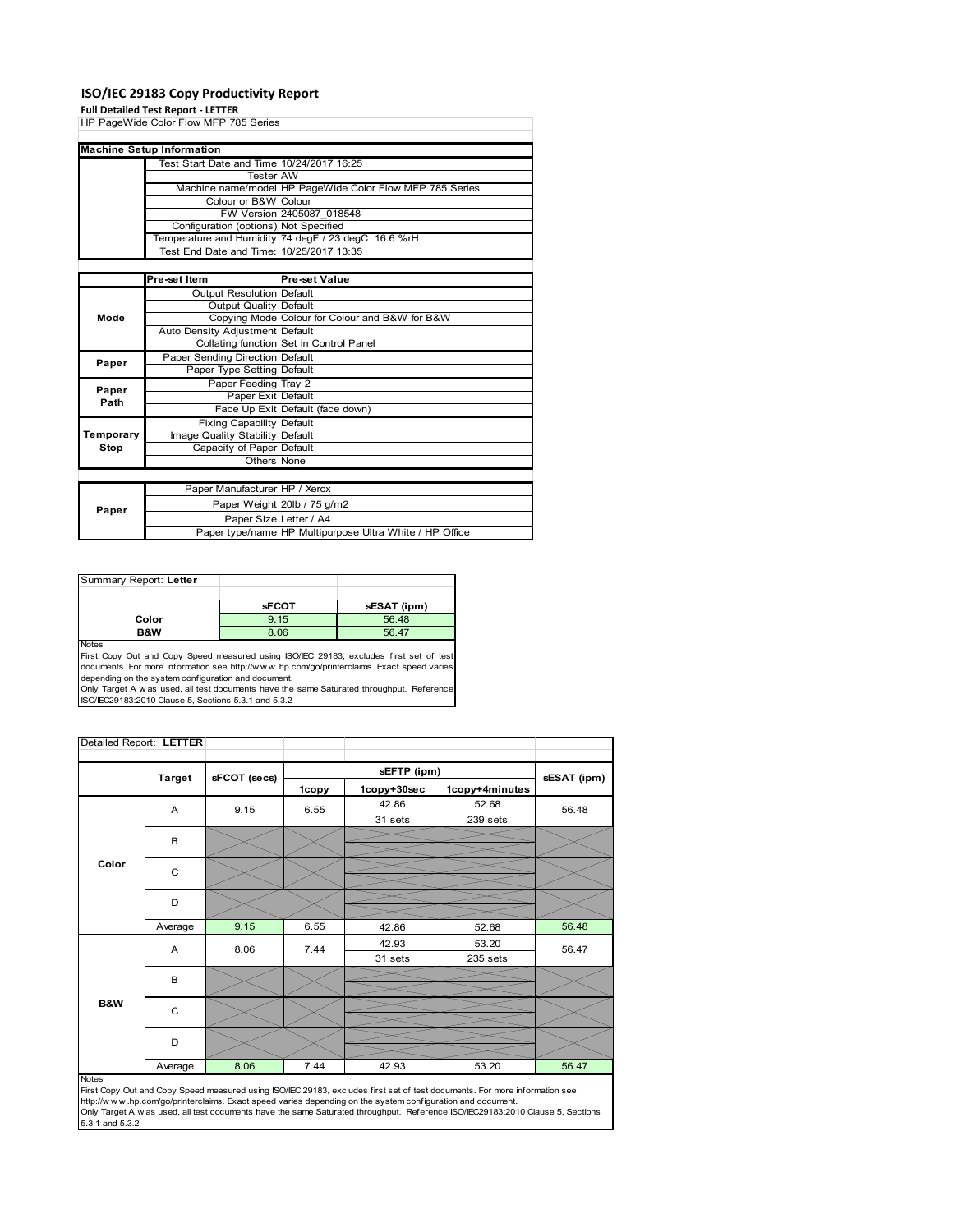## **ISO/IEC 29183 Copy Productivity Report**

#### **Full Detailed Test Report ‐ LETTER**

|           | HP PageWide Color Flow MFP 785 Series     |                                                          |
|-----------|-------------------------------------------|----------------------------------------------------------|
|           |                                           |                                                          |
|           | <b>Machine Setup Information</b>          |                                                          |
|           | Test Start Date and Time 10/24/2017 16:25 |                                                          |
|           | <b>Tester</b> AW                          |                                                          |
|           |                                           | Machine name/model HP PageWide Color Flow MFP 785 Series |
|           | Colour or B&W Colour                      |                                                          |
|           |                                           | FW Version 2405087 018548                                |
|           | Configuration (options) Not Specified     |                                                          |
|           |                                           | Temperature and Humidity 74 degF / 23 degC 16.6 %rH      |
|           | Test End Date and Time: 10/25/2017 13:35  |                                                          |
|           |                                           |                                                          |
|           | Pre-set Item                              | Pre-set Value                                            |
|           | <b>Output Resolution Default</b>          |                                                          |
|           | Output Quality Default                    |                                                          |
| Mode      |                                           | Copying Mode Colour for Colour and B&W for B&W           |
|           | Auto Density Adjustment Default           |                                                          |
|           |                                           | Collating function Set in Control Panel                  |
| Paper     | Paper Sending Direction Default           |                                                          |
|           | Paper Type Setting Default                |                                                          |
| Paper     | Paper Feeding Tray 2                      |                                                          |
| Path      | Paper Exit Default                        |                                                          |
|           |                                           | Face Up Exit Default (face down)                         |
|           | <b>Fixing Capability Default</b>          |                                                          |
| Temporary | Image Quality Stability Default           |                                                          |
| Stop      | Capacity of Paper Default                 |                                                          |
|           | Others None                               |                                                          |
|           |                                           |                                                          |
|           | Paper Manufacturer HP / Xerox             |                                                          |
|           |                                           | Paper Weight 20lb / 75 g/m2                              |
| Paper     | Paper Size Letter / A4                    |                                                          |
|           |                                           | Paper type/name HP Multipurpose Ultra White / HP Office  |

| Summary Report: Letter |              |             |
|------------------------|--------------|-------------|
|                        |              |             |
|                        | <b>sFCOT</b> | sESAT (ipm) |
| Color                  | 9.15         | 56.48       |
| B&W                    | 8.06         | 56.47       |
| .                      |              |             |

Notes<br>First Copy Out and Copy Speed measured using ISO/IEC 29183, excludes first set of test<br>documents. For more information see http://www..hp.com/go/printerclaims. Exact speed varies

depending on the system configuration and document.<br>Only Target A w as used, all test documents have the same Saturated throughput. Reference<br>ISO/IEC29183:2010 Clause 5, Sections 5.3.1 and 5.3.2

| Detailed Report: LETTER |               |              |             |             |                |             |
|-------------------------|---------------|--------------|-------------|-------------|----------------|-------------|
|                         | <b>Target</b> |              | sEFTP (ipm) |             |                | sESAT (ipm) |
|                         |               | sFCOT (secs) | 1copy       | 1copy+30sec | 1copy+4minutes |             |
|                         | A             | 9.15         | 6.55        | 42.86       | 52.68          | 56.48       |
|                         |               |              |             | 31 sets     | 239 sets       |             |
|                         | B             |              |             |             |                |             |
|                         |               |              |             |             |                |             |
| Color                   | C             |              |             |             |                |             |
|                         | D             |              |             |             |                |             |
|                         |               |              |             |             |                |             |
|                         | Average       | 9.15         | 6.55        | 42.86       | 52.68          | 56.48       |
|                         | A             | 8.06         | 7.44        | 42.93       | 53.20          | 56.47       |
|                         |               |              |             | 31 sets     | 235 sets       |             |
|                         | B             |              |             |             |                |             |
| B&W                     | C             |              |             |             |                |             |
|                         | D             |              |             |             |                |             |
|                         | Average       | 8.06         | 7.44        | 42.93       | 53.20          | 56.47       |

#### Notes

First Copy Out and Copy Speed measured using ISO/IEC 29183, excludes first set of test documents. For more information see<br>http://w w w.hp.com/go/printerclaims. Exact speed varies depending on the system configuration and 5.3.1 and 5.3.2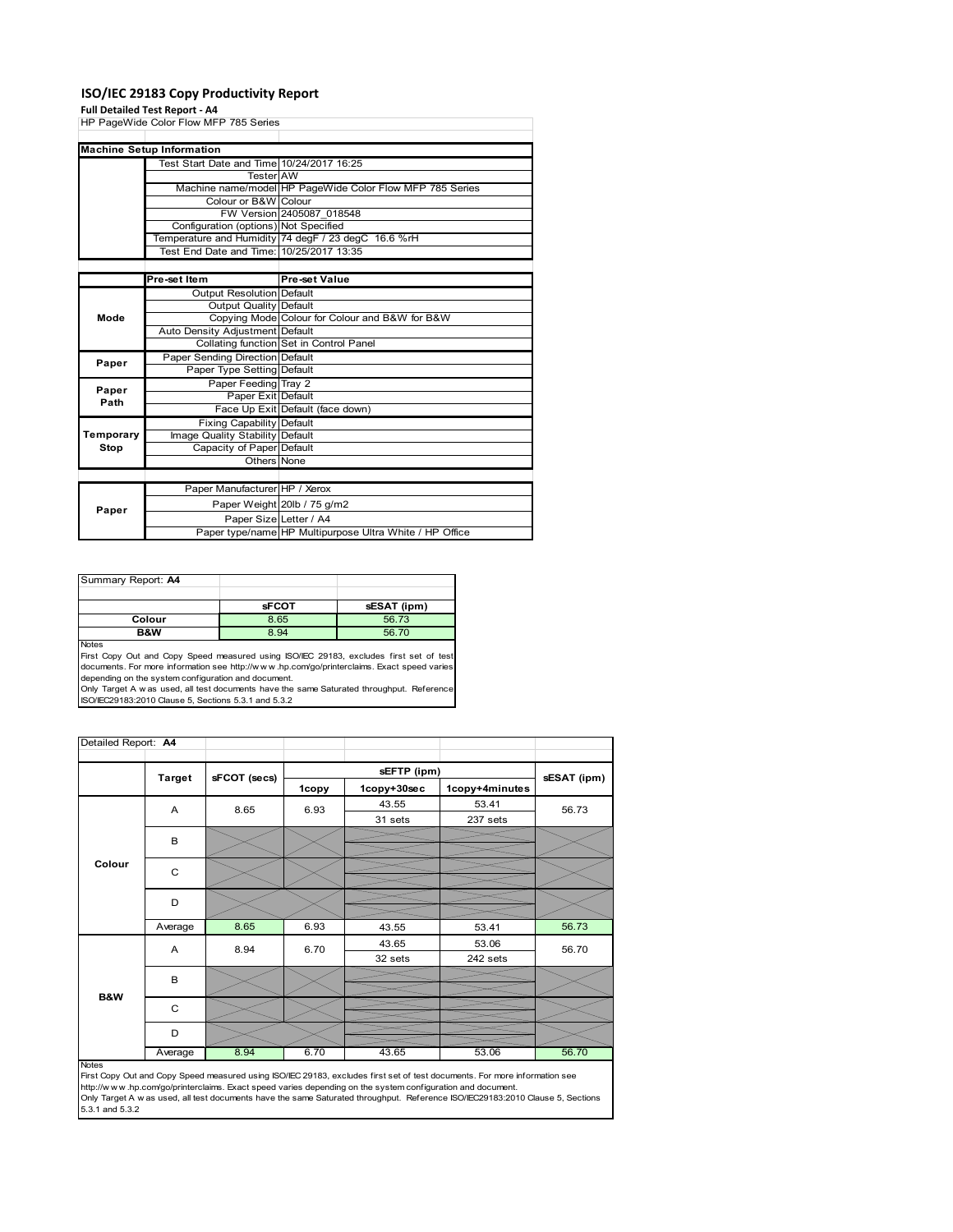## **ISO/IEC 29183 Copy Productivity Report**

### **Full Detailed Test Report ‐ A4**

|           | HP PageWide Color Flow MFP 785 Series     |                                                          |  |  |
|-----------|-------------------------------------------|----------------------------------------------------------|--|--|
|           |                                           |                                                          |  |  |
|           | <b>Machine Setup Information</b>          |                                                          |  |  |
|           | Test Start Date and Time 10/24/2017 16:25 |                                                          |  |  |
|           | <b>Tester AW</b>                          |                                                          |  |  |
|           |                                           | Machine name/model HP PageWide Color Flow MFP 785 Series |  |  |
|           | Colour or B&W Colour                      |                                                          |  |  |
|           |                                           | FW Version 2405087 018548                                |  |  |
|           | Configuration (options) Not Specified     |                                                          |  |  |
|           |                                           | Temperature and Humidity 74 degF / 23 degC 16.6 %rH      |  |  |
|           | Test End Date and Time: 10/25/2017 13:35  |                                                          |  |  |
|           |                                           |                                                          |  |  |
|           | Pre-set Item                              | <b>Pre-set Value</b>                                     |  |  |
|           | <b>Output Resolution Default</b>          |                                                          |  |  |
|           | Output Quality Default                    |                                                          |  |  |
| Mode      |                                           | Copying Mode Colour for Colour and B&W for B&W           |  |  |
|           | Auto Density Adjustment Default           |                                                          |  |  |
|           |                                           | Collating function Set in Control Panel                  |  |  |
| Paper     | Paper Sending Direction Default           |                                                          |  |  |
|           | Paper Type Setting Default                |                                                          |  |  |
| Paper     | Paper Feeding Tray 2                      |                                                          |  |  |
| Path      | Paper Exit Default                        |                                                          |  |  |
|           |                                           | Face Up Exit Default (face down)                         |  |  |
|           | <b>Fixing Capability Default</b>          |                                                          |  |  |
| Temporary | Image Quality Stability Default           |                                                          |  |  |
| Stop      | Capacity of Paper Default                 |                                                          |  |  |
|           | Others None                               |                                                          |  |  |
|           |                                           |                                                          |  |  |
|           | Paper Manufacturer HP / Xerox             |                                                          |  |  |
| Paper     |                                           | Paper Weight 20lb / 75 g/m2                              |  |  |
|           | Paper Size Letter / A4                    |                                                          |  |  |
|           |                                           | Paper type/name HP Multipurpose Ultra White / HP Office  |  |  |

| Summary Report: A4 |              |             |
|--------------------|--------------|-------------|
|                    |              |             |
|                    | <b>SFCOT</b> | sESAT (ipm) |
| Colour             | 8.65         | 56.73       |
| <b>B&amp;W</b>     | 8.94         | 56.70       |

Notes

First Copy Out and Copy Speed measured using ISO/IEC 29183, excludes first set of test documents. For more information see http://w w w .hp.com/go/printerclaims. Exact speed varies

depending on the system configuration and document.<br>Only Target A w as used, all test documents have the same Saturated throughput. Reference<br>ISO/IEC29183:2010 Clause 5, Sections 5.3.1 and 5.3.2

| Detailed Report: A4 |               |              |       |             |                |             |
|---------------------|---------------|--------------|-------|-------------|----------------|-------------|
|                     |               |              |       | sEFTP (ipm) |                |             |
|                     | <b>Target</b> | sFCOT (secs) | 1copy | 1copy+30sec | 1copy+4minutes | sESAT (ipm) |
|                     | A             | 8.65         | 6.93  | 43.55       | 53.41          | 56.73       |
|                     |               |              |       | 31 sets     | 237 sets       |             |
|                     | B             |              |       |             |                |             |
|                     |               |              |       |             |                |             |
| Colour              | C             |              |       |             |                |             |
|                     |               |              |       |             |                |             |
|                     | D             |              |       |             |                |             |
|                     |               |              |       |             |                |             |
|                     | Average       | 8.65         | 6.93  | 43.55       | 53.41          | 56.73       |
|                     | A             | 8.94         | 6.70  | 43.65       | 53.06          | 56.70       |
|                     |               |              |       | 32 sets     | 242 sets       |             |
|                     | B             |              |       |             |                |             |
| <b>B&amp;W</b>      |               |              |       |             |                |             |
|                     | C             |              |       |             |                |             |
|                     |               |              |       |             |                |             |
|                     | D             |              |       |             |                |             |
|                     | Average       | 8.94         | 6.70  | 43.65       | 53.06          | 56.70       |

Average 8.94 6.70 43.65 53.06 56.70<br>
First Copy Out and Copy Speed measured using ISO/IEC 29183, excludes first set of test documents. For more information see<br>
First://www.hp.com/go/printerclaims. Exact speed varies depen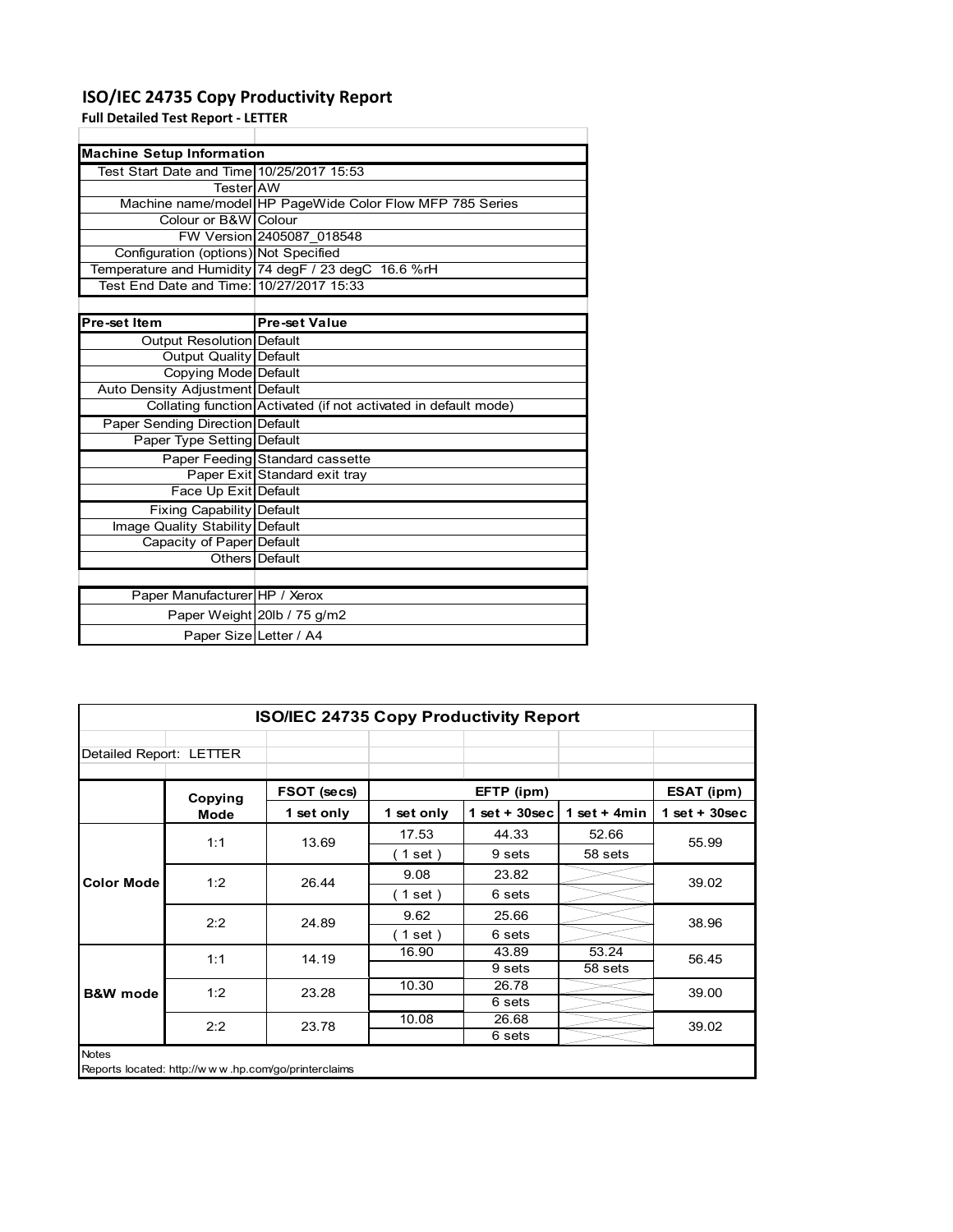## **ISO/IEC 24735 Copy Productivity Report**

**Full Detailed Test Report ‐ LETTER**

| <b>Machine Setup Information</b>          |                                                                 |
|-------------------------------------------|-----------------------------------------------------------------|
| Test Start Date and Time 10/25/2017 15:53 |                                                                 |
| TesterIAW                                 |                                                                 |
|                                           | Machine name/model HP PageWide Color Flow MFP 785 Series        |
| Colour or B&W Colour                      |                                                                 |
|                                           | FW Version 2405087 018548                                       |
| Configuration (options) Not Specified     |                                                                 |
|                                           | Temperature and Humidity 74 degF / 23 degC 16.6 %rH             |
| Test End Date and Time: 10/27/2017 15:33  |                                                                 |
|                                           |                                                                 |
| Pre-set Item                              | <b>Pre-set Value</b>                                            |
| Output Resolution Default                 |                                                                 |
| <b>Output Quality Default</b>             |                                                                 |
| Copying Mode Default                      |                                                                 |
| Auto Density Adjustment Default           |                                                                 |
|                                           | Collating function Activated (if not activated in default mode) |
| <b>Paper Sending Direction Default</b>    |                                                                 |
| Paper Type Setting Default                |                                                                 |
|                                           | Paper Feeding Standard cassette                                 |
|                                           | Paper Exit Standard exit tray                                   |
| Face Up Exit Default                      |                                                                 |
| <b>Fixing Capability Default</b>          |                                                                 |
| Image Quality Stability Default           |                                                                 |
| Capacity of Paper Default                 |                                                                 |
|                                           | Others Default                                                  |

|                               | Others Default              |
|-------------------------------|-----------------------------|
|                               |                             |
| Paper Manufacturer HP / Xerox |                             |
|                               | Paper Weight 20lb / 75 g/m2 |
| Paper SizelLetter / A4        |                             |

| <b>ISO/IEC 24735 Copy Productivity Report</b>                |         |             |            |                  |                |                 |  |  |
|--------------------------------------------------------------|---------|-------------|------------|------------------|----------------|-----------------|--|--|
| Detailed Report: LETTER                                      |         |             |            |                  |                |                 |  |  |
|                                                              | Copying | FSOT (secs) |            | EFTP (ipm)       |                | ESAT (ipm)      |  |  |
|                                                              | Mode    | 1 set only  | 1 set only | $1 set + 30 sec$ | 1 set $+$ 4min | $1$ set + 30sec |  |  |
|                                                              | 1:1     | 13.69       | 17.53      | 44.33            | 52.66          | 55.99           |  |  |
|                                                              |         |             | (1 set)    | 9 sets           | 58 sets        |                 |  |  |
| <b>Color Mode</b>                                            | 1:2     | 26.44       | 9.08       | 23.82            |                | 39.02           |  |  |
|                                                              |         |             | (1 set)    | 6 sets           |                |                 |  |  |
|                                                              | 2:2     | 24.89       | 9.62       | 25.66            |                | 38.96           |  |  |
|                                                              |         |             | (1 set)    | 6 sets           |                |                 |  |  |
|                                                              | 1:1     | 14.19       | 16.90      | 43.89            | 53.24          | 56.45           |  |  |
|                                                              |         |             |            | 9 sets           | 58 sets        |                 |  |  |
| <b>B&amp;W</b> mode                                          | 1:2     | 23.28       | 10.30      | 26.78            |                | 39.00           |  |  |
|                                                              |         |             |            | 6 sets           |                |                 |  |  |
|                                                              | 2:2     | 23.78       | 10.08      | 26.68            |                | 39.02           |  |  |
|                                                              |         |             |            | 6 sets           |                |                 |  |  |
| Notes<br>Reports located: http://www.hp.com/go/printerclaims |         |             |            |                  |                |                 |  |  |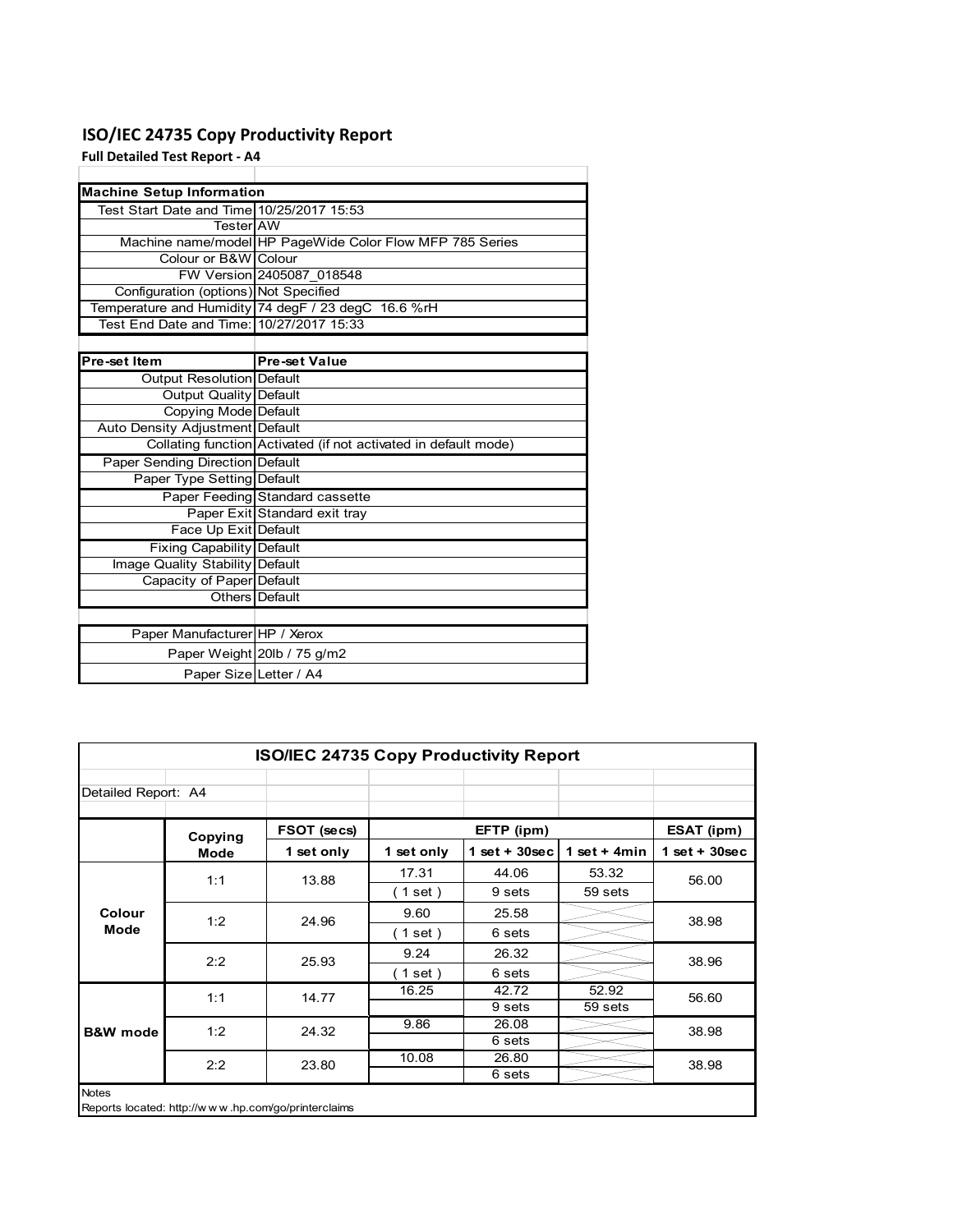## **ISO/IEC 24735 Copy Productivity Report**

**Full Detailed Test Report ‐ A4**

| <b>Machine Setup Information</b>          |                                                                 |
|-------------------------------------------|-----------------------------------------------------------------|
| Test Start Date and Time 10/25/2017 15:53 |                                                                 |
| TesterIAW                                 |                                                                 |
|                                           | Machine name/model HP PageWide Color Flow MFP 785 Series        |
| Colour or B&W Colour                      |                                                                 |
|                                           | FW Version 2405087 018548                                       |
| Configuration (options) Not Specified     |                                                                 |
|                                           | Temperature and Humidity 74 degF / 23 degC 16.6 %rH             |
| Test End Date and Time: 10/27/2017 15:33  |                                                                 |
|                                           |                                                                 |
| Pre-set Item                              | <b>Pre-set Value</b>                                            |
| Output Resolution Default                 |                                                                 |
| <b>Output Quality Default</b>             |                                                                 |
| Copying Mode Default                      |                                                                 |
| Auto Density Adjustment Default           |                                                                 |
|                                           | Collating function Activated (if not activated in default mode) |
| <b>Paper Sending Direction Default</b>    |                                                                 |
| Paper Type Setting Default                |                                                                 |
|                                           | Paper Feeding Standard cassette                                 |
|                                           | Paper Exit Standard exit tray                                   |
| Face Up Exit Default                      |                                                                 |
| <b>Fixing Capability Default</b>          |                                                                 |
| Image Quality Stability Default           |                                                                 |
| Capacity of Paper Default                 |                                                                 |
|                                           | Others Default                                                  |
|                                           |                                                                 |
| Paper Manufacturer HP / Xerox             |                                                                 |
|                                           | Paper Weight 20lb / 75 g/m2                                     |
| Paper Size Letter / A4                    |                                                                 |

| <b>ISO/IEC 24735 Copy Productivity Report</b>                       |             |             |                          |                  |                |                 |  |  |
|---------------------------------------------------------------------|-------------|-------------|--------------------------|------------------|----------------|-----------------|--|--|
| Detailed Report: A4                                                 |             |             |                          |                  |                |                 |  |  |
|                                                                     | Copying     | FSOT (secs) |                          | EFTP (ipm)       |                | ESAT (ipm)      |  |  |
|                                                                     | <b>Mode</b> | 1 set only  | 1 set only               | 1 set + $30$ sec | 1 set + $4min$ | $1$ set + 30sec |  |  |
|                                                                     | 1:1         | 13.88       | 17.31                    | 44.06            | 53.32          | 56.00           |  |  |
|                                                                     |             |             | (1 set)                  | 9 sets           | 59 sets        |                 |  |  |
| Colour                                                              | 1:2         | 24.96       | 9.60                     | 25.58            |                | 38.98           |  |  |
| Mode                                                                |             |             | $\left( 1$ set $\right)$ | 6 sets           |                |                 |  |  |
|                                                                     | 2:2         | 25.93       | 9.24                     | 26.32            |                | 38.96           |  |  |
|                                                                     |             |             | (1 set)                  | 6 sets           |                |                 |  |  |
|                                                                     | 1:1         | 14.77       | 16.25                    | 42.72            | 52.92          | 56.60           |  |  |
|                                                                     |             |             |                          | 9 sets           | 59 sets        |                 |  |  |
| <b>B&amp;W</b> mode                                                 | 1:2         | 24.32       | 9.86                     | 26.08            |                | 38.98           |  |  |
|                                                                     |             |             |                          | 6 sets           |                |                 |  |  |
|                                                                     | 2:2         | 23.80       | 10.08                    | 26.80            |                | 38.98           |  |  |
|                                                                     |             |             |                          | 6 sets           |                |                 |  |  |
| <b>Notes</b><br>Reports located: http://www.hp.com/go/printerclaims |             |             |                          |                  |                |                 |  |  |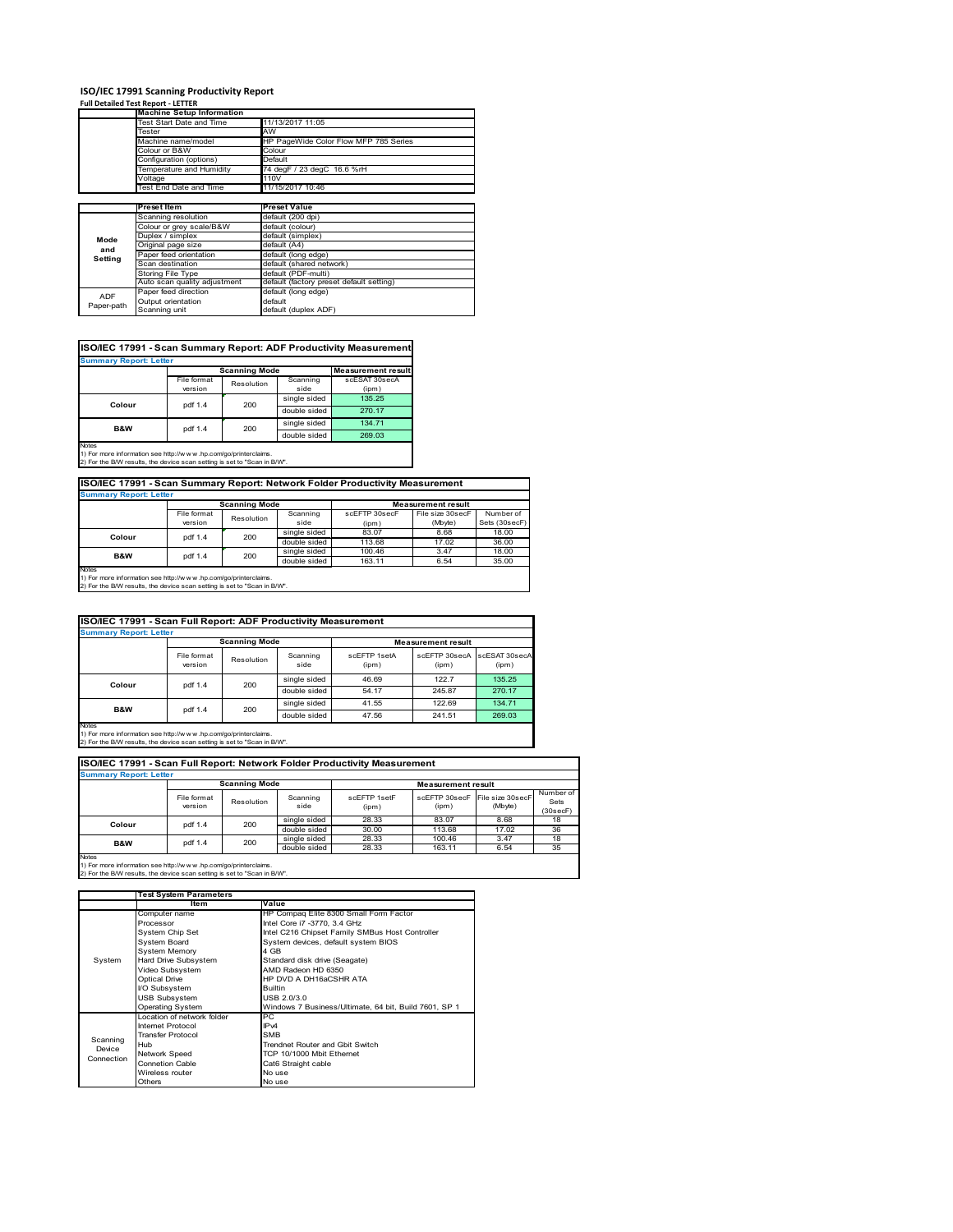# **ISO/IEC 17991 Scanning Productivity Report Full Detailed Test Report ‐ LETTER Machine Setup Information**

|            | <b>Machine Setup Information</b> |                                          |  |  |  |
|------------|----------------------------------|------------------------------------------|--|--|--|
|            | Test Start Date and Time         | 11/13/2017 11:05                         |  |  |  |
|            | Tester                           | AW                                       |  |  |  |
|            | Machine name/model               | HP PageWide Color Flow MFP 785 Series    |  |  |  |
|            | Colour or B&W                    | Colour                                   |  |  |  |
|            | Configuration (options)          | Default                                  |  |  |  |
|            | Temperature and Humidity         | 74 degF / 23 degC 16.6 %rH               |  |  |  |
|            | Voltage                          | 110V                                     |  |  |  |
|            | Test End Date and Time           | 11/15/2017 10:46                         |  |  |  |
|            |                                  |                                          |  |  |  |
|            | Preset Item                      | <b>Preset Value</b>                      |  |  |  |
|            | Scanning resolution              | default (200 dpi)                        |  |  |  |
|            | Colour or grey scale/B&W         | default (colour)                         |  |  |  |
| Mode       | Duplex / simplex                 | default (simplex)                        |  |  |  |
|            | Original page size               | default (A4)                             |  |  |  |
| and        | Paper feed orientation           | default (long edge)                      |  |  |  |
| Setting    | Scan destination                 | default (shared network)                 |  |  |  |
|            | <b>Storing File Type</b>         | default (PDF-multi)                      |  |  |  |
|            | Auto scan quality adjustment     | default (factory preset default setting) |  |  |  |
| <b>ADF</b> | Paper feed direction             | default (long edge)                      |  |  |  |
|            | Output orientation               | default                                  |  |  |  |
| Paper-path | Scanning unit                    | default (duplex ADF)                     |  |  |  |

|                               |             |                      |              | ISO/IEC 17991 - Scan Summary Report: ADF Productivity Measurement |  |  |  |
|-------------------------------|-------------|----------------------|--------------|-------------------------------------------------------------------|--|--|--|
| <b>Summary Report: Letter</b> |             |                      |              |                                                                   |  |  |  |
|                               |             | <b>Scanning Mode</b> |              | <b>Measurement result</b>                                         |  |  |  |
|                               | File format | Resolution           | Scanning     | scESAT 30secA                                                     |  |  |  |
|                               | version     |                      | side         | (ipm)                                                             |  |  |  |
| Colour                        | pdf 1.4     | 200                  | single sided | 135.25                                                            |  |  |  |
|                               |             |                      | double sided | 270.17                                                            |  |  |  |
| <b>B&amp;W</b>                | pdf 1.4     | 200                  | single sided | 134.71                                                            |  |  |  |
|                               |             |                      | double sided | 269.03                                                            |  |  |  |
| <b>Notes</b>                  |             |                      |              |                                                                   |  |  |  |

Notes 1) For more information see http://w w w .hp.com/go/printerclaims. 2) For the B/W results, the device scan setting is set to "Scan in B/W".

**ISO/IEC 17991 - Scan Summary Report: Network Folder Productivity Measurement**

| <b>Summary Report: Letter</b> |                      |            |              |                           |                  |               |  |
|-------------------------------|----------------------|------------|--------------|---------------------------|------------------|---------------|--|
|                               | <b>Scanning Mode</b> |            |              | <b>Measurement result</b> |                  |               |  |
|                               | File format          | Resolution | Scanning     | scEFTP 30secF             | File size 30secF | Number of     |  |
|                               | version              |            | side         | (ipm)                     | (Mbyte)          | Sets (30secF) |  |
| Colour                        | pdf 1.4              | 200        | single sided | 83.07                     | 8.68             | 18.00         |  |
|                               |                      |            | double sided | 113.68                    | 17.02            | 36.00         |  |
| B&W                           | pdf 1.4              | 200        | single sided | 100.46                    | 3.47             | 18.00         |  |
|                               |                      |            | double sided | 163.11                    | 6.54             | 35.00         |  |
| <b>Notes</b>                  |                      |            |              |                           |                  |               |  |

┓

Notes 1) For more information see http://w w w .hp.com/go/printerclaims. 2) For the B/W results, the device scan setting is set to "Scan in B/W".

| ISO/IEC 17991 - Scan Full Report: ADF Productivity Measurement |                        |            |                  |                           |                        |                        |  |  |
|----------------------------------------------------------------|------------------------|------------|------------------|---------------------------|------------------------|------------------------|--|--|
| <b>Summary Report: Letter</b>                                  |                        |            |                  |                           |                        |                        |  |  |
|                                                                | <b>Scanning Mode</b>   |            |                  | <b>Measurement result</b> |                        |                        |  |  |
|                                                                | File format<br>version | Resolution | Scanning<br>side | scFFTP 1setA<br>(ipm)     | scEETP 30secA<br>(ipm) | scESAT 30secA<br>(ipm) |  |  |
|                                                                | 200<br>pdf 1.4         |            | single sided     | 46.69                     | 122.7                  | 135.25                 |  |  |
| Colour                                                         |                        |            | double sided     | 54.17                     | 245.87                 | 270.17                 |  |  |
| <b>B&amp;W</b>                                                 |                        | 200        | single sided     | 41.55                     | 122.69                 | 134.71                 |  |  |
|                                                                | pdf 1.4                |            | double sided     | 47.56                     | 241.51                 | 269.03                 |  |  |
| <b>Notes</b>                                                   |                        |            |                  |                           |                        |                        |  |  |

Notes 1) For more information see http://w w w .hp.com/go/printerclaims. 2) For the B/W results, the device scan setting is set to "Scan in B/W".

| ISO/IEC 17991 - Scan Full Report: Network Folder Productivity Measurement |                        |            |                  |                           |                        |                             |                               |  |  |
|---------------------------------------------------------------------------|------------------------|------------|------------------|---------------------------|------------------------|-----------------------------|-------------------------------|--|--|
| <b>Summary Report: Letter</b>                                             |                        |            |                  |                           |                        |                             |                               |  |  |
|                                                                           | <b>Scanning Mode</b>   |            |                  | <b>Measurement result</b> |                        |                             |                               |  |  |
|                                                                           | File format<br>version | Resolution | Scanning<br>side | scFFTP 1setF<br>(ipm)     | scEFTP 30secF<br>(ipm) | File size 30secF<br>(Mbyte) | Number of<br>Sets<br>(30secF) |  |  |
| Colour                                                                    | pdf 1.4                | 200        | single sided     | 28.33                     | 83.07                  | 8.68                        | 18                            |  |  |
|                                                                           |                        |            | double sided     | 30.00                     | 113.68                 | 17.02                       | 36                            |  |  |
| <b>B&amp;W</b>                                                            | pdf 1.4                | 200        | single sided     | 28.33                     | 100.46                 | 3.47                        | 18                            |  |  |
|                                                                           |                        |            | double sided     | 28.33                     | 163.11                 | 6.54                        | 35                            |  |  |
| <b>Notes</b>                                                              |                        |            |                  |                           |                        |                             |                               |  |  |

|            | <b>Test System Parameters</b> |                                                       |  |  |  |
|------------|-------------------------------|-------------------------------------------------------|--|--|--|
|            | Item                          | Value                                                 |  |  |  |
|            | Computer name                 | HP Compaq Elite 8300 Small Form Factor                |  |  |  |
|            | Processor                     | Intel Core i7 -3770, 3.4 GHz                          |  |  |  |
|            | System Chip Set               | Intel C216 Chipset Family SMBus Host Controller       |  |  |  |
|            | <b>System Board</b>           | System devices, default system BIOS                   |  |  |  |
|            | <b>System Memory</b>          | 4 GB                                                  |  |  |  |
| System     | Hard Drive Subsystem          | Standard disk drive (Seagate)                         |  |  |  |
|            | Video Subsystem               | AMD Radeon HD 6350                                    |  |  |  |
|            | <b>Optical Drive</b>          | HP DVD A DH16aCSHR ATA                                |  |  |  |
|            | I/O Subsystem                 | <b>Builtin</b>                                        |  |  |  |
|            | <b>USB Subsystem</b>          | USB 2.0/3.0                                           |  |  |  |
|            | <b>Operating System</b>       | Windows 7 Business/Ultimate, 64 bit, Build 7601, SP 1 |  |  |  |
|            | I ocation of network folder   | PC.                                                   |  |  |  |
|            | Internet Protocol             | IP <sub>v4</sub>                                      |  |  |  |
| Scanning   | <b>Transfer Protocol</b>      | <b>SMB</b>                                            |  |  |  |
| Device     | Hub                           | Trendnet Router and Gbit Switch                       |  |  |  |
| Connection | Network Speed                 | TCP 10/1000 Mbit Ethernet                             |  |  |  |
|            | <b>Connetion Cable</b>        | Cat6 Straight cable                                   |  |  |  |
|            | Wireless router               | No use                                                |  |  |  |
|            | Others                        | No use                                                |  |  |  |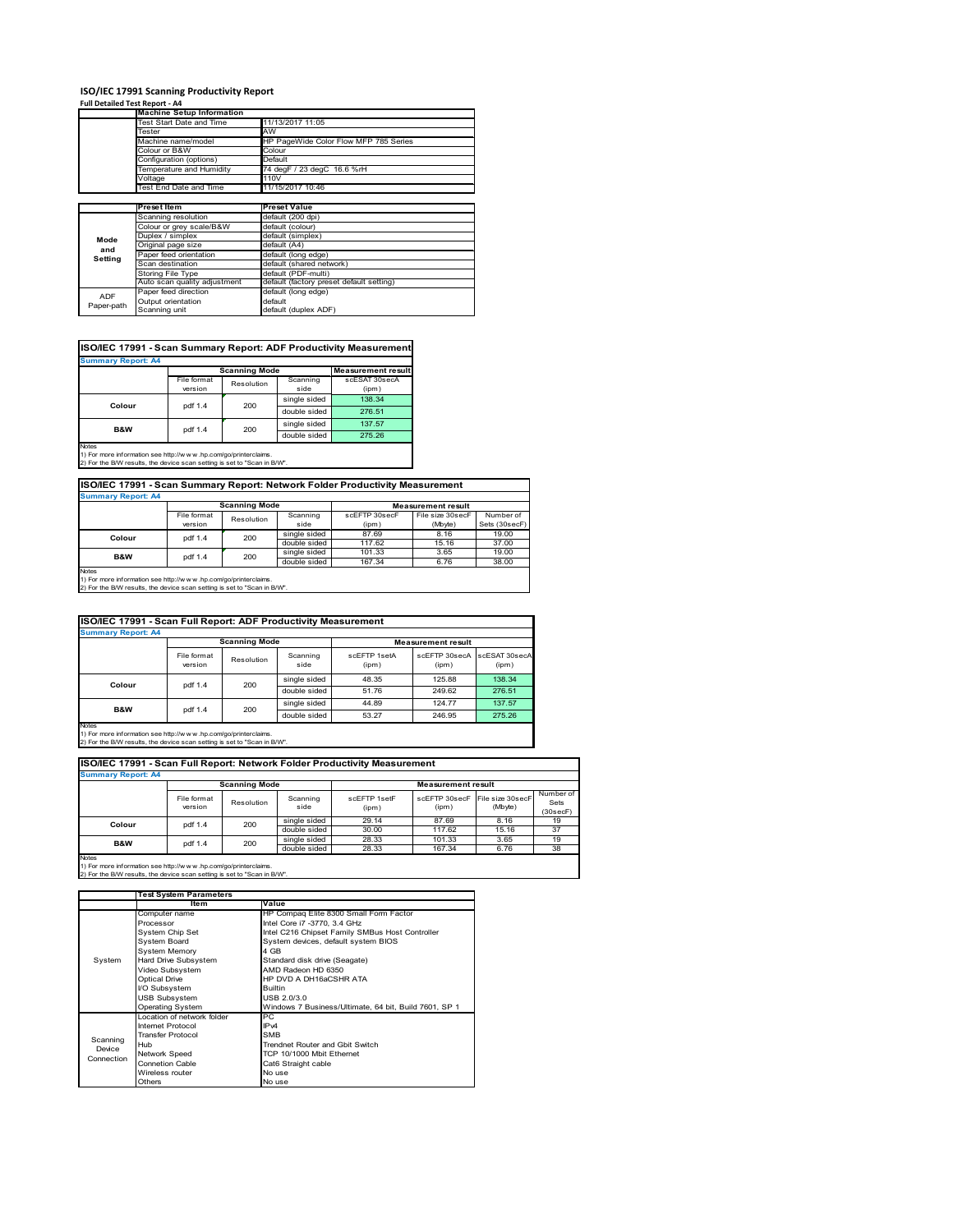### **ISO/IEC 17991 Scanning Productivity Report**

**Full Detailed Test Report ‐ A4**

|            | <b>Machine Setup Information</b> |                                          |  |  |  |  |
|------------|----------------------------------|------------------------------------------|--|--|--|--|
|            | Test Start Date and Time         | 11/13/2017 11:05                         |  |  |  |  |
|            | Tester                           | AW                                       |  |  |  |  |
|            | Machine name/model               | HP PageWide Color Flow MFP 785 Series    |  |  |  |  |
|            | Colour or B&W                    | Colour                                   |  |  |  |  |
|            | Configuration (options)          | Default                                  |  |  |  |  |
|            | Temperature and Humidity         | 74 degF / 23 degC 16.6 %rH               |  |  |  |  |
|            | Voltage                          | 110V                                     |  |  |  |  |
|            | Test End Date and Time           | 11/15/2017 10:46                         |  |  |  |  |
|            |                                  |                                          |  |  |  |  |
|            | Preset Item                      | <b>Preset Value</b>                      |  |  |  |  |
|            | Scanning resolution              | default (200 dpi)                        |  |  |  |  |
|            | Colour or grey scale/B&W         | default (colour)                         |  |  |  |  |
| Mode       | Duplex / simplex                 | default (simplex)                        |  |  |  |  |
| and        | Original page size               | default (A4)                             |  |  |  |  |
| Setting    | Paper feed orientation           | default (long edge)                      |  |  |  |  |
|            | Scan destination                 | default (shared network)                 |  |  |  |  |
|            | <b>Storing File Type</b>         | default (PDF-multi)                      |  |  |  |  |
|            | Auto scan quality adjustment     | default (factory preset default setting) |  |  |  |  |
| <b>ADF</b> | Paper feed direction             | default (long edge)                      |  |  |  |  |
|            | Output orientation               | default                                  |  |  |  |  |
| Paper-path | Scanning unit                    | default (duplex ADF)                     |  |  |  |  |

| ISO/IEC 17991 - Scan Summary Report: ADF Productivity Measurement |             |                      |              |                           |  |  |  |
|-------------------------------------------------------------------|-------------|----------------------|--------------|---------------------------|--|--|--|
| <b>Summary Report: A4</b>                                         |             |                      |              |                           |  |  |  |
|                                                                   |             | <b>Scanning Mode</b> |              | <b>Measurement result</b> |  |  |  |
|                                                                   | File format | Resolution           | Scanning     | scESAT 30secA             |  |  |  |
|                                                                   | version     |                      | side         | (ipm)                     |  |  |  |
| Colour                                                            | pdf 1.4     | 200                  | single sided | 138.34                    |  |  |  |
|                                                                   |             |                      | double sided | 276.51                    |  |  |  |
| <b>B&amp;W</b>                                                    | pdf 1.4     | 200                  | single sided | 137.57                    |  |  |  |
|                                                                   |             |                      | double sided | 275.26                    |  |  |  |
| <b>Notes</b>                                                      |             |                      |              |                           |  |  |  |

Notes 1) For more information see http://w w w .hp.com/go/printerclaims. 2) For the B/W results, the device scan setting is set to "Scan in B/W".

| ISO/IEC 17991 - Scan Summary Report: Network Folder Productivity Measurement |                |                      |              |                           |                  |               |  |
|------------------------------------------------------------------------------|----------------|----------------------|--------------|---------------------------|------------------|---------------|--|
| <b>Summary Report: A4</b>                                                    |                |                      |              |                           |                  |               |  |
|                                                                              |                | <b>Scanning Mode</b> |              | <b>Measurement result</b> |                  |               |  |
|                                                                              | File format    | Resolution           | Scanning     | scEFTP 30secF             | File size 30secF | Number of     |  |
|                                                                              | version        |                      | side         | (ipm)                     | (Mbyte)          | Sets (30secF) |  |
| Colour                                                                       | 200<br>pdf 1.4 |                      | single sided | 87.69                     | 8.16             | 19.00         |  |
|                                                                              |                |                      | double sided | 117.62                    | 15.16            | 37.00         |  |
| <b>B&amp;W</b>                                                               | pdf 1.4        | 200                  | single sided | 101.33                    | 3.65             | 19.00         |  |
|                                                                              |                |                      | double sided | 167.34                    | 6.76             | 38.00         |  |

Notes 1) For more information see http://w w w .hp.com/go/printerclaims. 2) For the B/W results, the device scan setting is set to "Scan in B/W".

|                                                                          | ISO/IEC 17991 - Scan Full Report: ADF Productivity Measurement |                      |                  |                       |                           |                        |  |  |  |
|--------------------------------------------------------------------------|----------------------------------------------------------------|----------------------|------------------|-----------------------|---------------------------|------------------------|--|--|--|
| <b>Summary Report: A4</b>                                                |                                                                |                      |                  |                       |                           |                        |  |  |  |
|                                                                          |                                                                | <b>Scanning Mode</b> |                  |                       | <b>Measurement result</b> |                        |  |  |  |
|                                                                          | File format<br>version                                         | Resolution           | Scanning<br>side | scFFTP 1setA<br>(ipm) | scEETP 30secA<br>(ipm)    | scESAT 30secA<br>(ipm) |  |  |  |
| Colour                                                                   | pdf 1.4                                                        | 200                  | single sided     | 48.35                 | 125.88                    | 138.34                 |  |  |  |
|                                                                          |                                                                |                      | double sided     | 51.76                 | 249.62                    | 276.51                 |  |  |  |
| <b>B&amp;W</b>                                                           |                                                                |                      | single sided     | 44.89                 | 124.77                    | 137.57                 |  |  |  |
|                                                                          | pdf 1.4                                                        | 200                  | double sided     | 53.27                 | 246.95                    | 275.26                 |  |  |  |
| Notes<br>1) For more information see http://www.hp.com/go/printerclaims. |                                                                |                      |                  |                       |                           |                        |  |  |  |

Notes 1) For more information see http://w w w .hp.com/go/printerclaims. 2) For the B/W results, the device scan setting is set to "Scan in B/W".

| ISO/IEC 17991 - Scan Full Report: Network Folder Productivity Measurement |                        |            |                  |                       |                           |                                           |                               |  |  |
|---------------------------------------------------------------------------|------------------------|------------|------------------|-----------------------|---------------------------|-------------------------------------------|-------------------------------|--|--|
| <b>Summary Report: A4</b>                                                 |                        |            |                  |                       |                           |                                           |                               |  |  |
| <b>Scanning Mode</b>                                                      |                        |            |                  |                       | <b>Measurement result</b> |                                           |                               |  |  |
|                                                                           | File format<br>version | Resolution | Scanning<br>side | scFFTP 1setF<br>(ipm) | (ipm)                     | scEFTP 30secF File size 30secF<br>(Mbyte) | Number of<br>Sets<br>(30secF) |  |  |
| Colour                                                                    | pdf 1.4                | 200        | single sided     | 29.14                 | 87.69                     | 8.16                                      | 19                            |  |  |
|                                                                           |                        |            | double sided     | 30.00                 | 117.62                    | 15.16                                     | 37                            |  |  |
| <b>B&amp;W</b>                                                            | pdf 1.4                | 200        | single sided     | 28.33                 | 101.33                    | 3.65                                      | 19                            |  |  |
|                                                                           |                        |            | double sided     | 28.33                 | 167.34                    | 6.76                                      | 38                            |  |  |
| <b>Notes</b>                                                              |                        |            |                  |                       |                           |                                           |                               |  |  |

|            | <b>Test System Parameters</b> |                                                       |  |  |
|------------|-------------------------------|-------------------------------------------------------|--|--|
|            | Item                          | Value                                                 |  |  |
|            | Computer name                 | HP Compaq Elite 8300 Small Form Factor                |  |  |
|            | Processor                     | Intel Core i7 -3770, 3.4 GHz                          |  |  |
|            | System Chip Set               | Intel C216 Chipset Family SMBus Host Controller       |  |  |
|            | System Board                  | System devices, default system BIOS                   |  |  |
|            | <b>System Memory</b>          | 4 GB                                                  |  |  |
| System     | Hard Drive Subsystem          | Standard disk drive (Seagate)                         |  |  |
|            | Video Subsystem               | AMD Radeon HD 6350                                    |  |  |
|            | Optical Drive                 | HP DVD A DH16aCSHR ATA                                |  |  |
|            | I/O Subsystem                 | <b>Builtin</b>                                        |  |  |
|            | <b>USB Subsystem</b>          | USB 2.0/3.0                                           |  |  |
|            | <b>Operating System</b>       | Windows 7 Business/Ultimate, 64 bit, Build 7601, SP 1 |  |  |
|            | Location of network folder    | PC                                                    |  |  |
|            | Internet Protocol             | IP <sub>v4</sub>                                      |  |  |
| Scanning   | <b>Transfer Protocol</b>      | <b>SMB</b>                                            |  |  |
| Device     | Hub                           | Trendnet Router and Gbit Switch                       |  |  |
| Connection | Network Speed                 | TCP 10/1000 Mbit Ethernet                             |  |  |
|            | <b>Connetion Cable</b>        | Cat6 Straight cable                                   |  |  |
|            | Wireless router               | No use                                                |  |  |
|            | Others                        | No use                                                |  |  |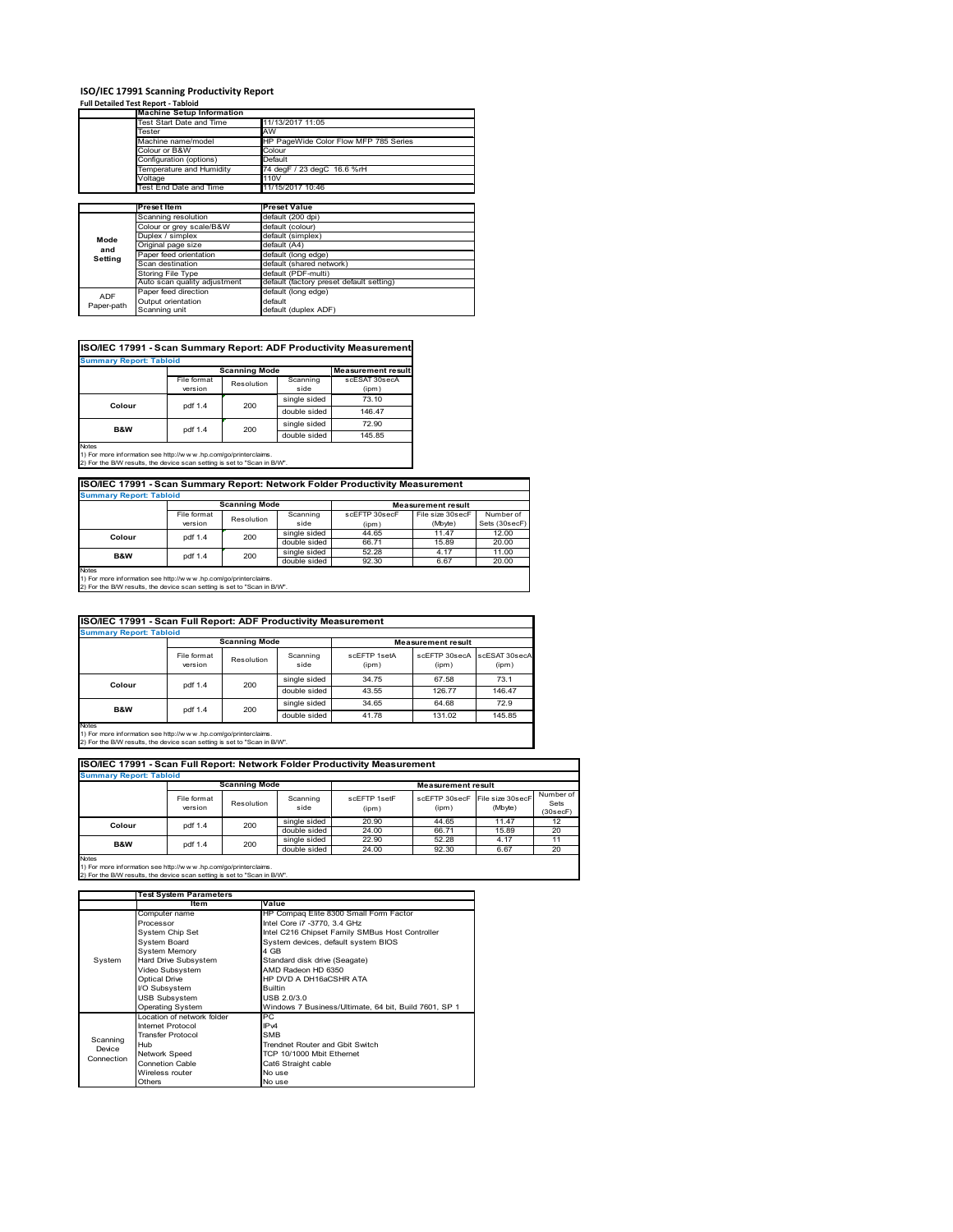# **ISO/IEC 17991 Scanning Productivity Report Full Detailed Test Report ‐ Tabloid Machine Setup Information**

|            | <b>Machine Setup Information</b> |                                          |  |  |  |  |
|------------|----------------------------------|------------------------------------------|--|--|--|--|
|            | Test Start Date and Time         | 11/13/2017 11:05                         |  |  |  |  |
|            | Tester                           | AW                                       |  |  |  |  |
|            | Machine name/model               | HP PageWide Color Flow MFP 785 Series    |  |  |  |  |
|            | Colour or B&W                    | Colour                                   |  |  |  |  |
|            | Configuration (options)          | Default                                  |  |  |  |  |
|            | Temperature and Humidity         | 74 degF / 23 degC 16.6 %rH               |  |  |  |  |
|            | Voltage                          | 110V                                     |  |  |  |  |
|            | Test End Date and Time           | 11/15/2017 10:46                         |  |  |  |  |
|            |                                  |                                          |  |  |  |  |
|            | Preset Item                      | <b>Preset Value</b>                      |  |  |  |  |
|            | Scanning resolution              | default (200 dpi)                        |  |  |  |  |
|            | Colour or grey scale/B&W         | default (colour)                         |  |  |  |  |
| Mode       | Duplex / simplex                 | default (simplex)                        |  |  |  |  |
| and        | Original page size               | default (A4)                             |  |  |  |  |
| Setting    | Paper feed orientation           | default (long edge)                      |  |  |  |  |
|            | Scan destination                 | default (shared network)                 |  |  |  |  |
|            | <b>Storing File Type</b>         | default (PDF-multi)                      |  |  |  |  |
|            | Auto scan quality adjustment     | default (factory preset default setting) |  |  |  |  |
|            |                                  |                                          |  |  |  |  |
| <b>ADF</b> | Paper feed direction             | default (long edge)                      |  |  |  |  |
| Paper-path | Output orientation               | default                                  |  |  |  |  |

| ISO/IEC 17991 - Scan Summary Report: ADF Productivity Measurement |             |                      |              |                           |  |  |  |  |
|-------------------------------------------------------------------|-------------|----------------------|--------------|---------------------------|--|--|--|--|
| <b>Summary Report: Tabloid</b>                                    |             |                      |              |                           |  |  |  |  |
|                                                                   |             | <b>Scanning Mode</b> |              | <b>Measurement result</b> |  |  |  |  |
|                                                                   | File format | Resolution           | Scanning     | scESAT 30secA             |  |  |  |  |
|                                                                   | version     |                      | side         | (ipm)                     |  |  |  |  |
|                                                                   | pdf 1.4     | 200                  | single sided | 73.10                     |  |  |  |  |
| Colour                                                            |             |                      | double sided | 146.47                    |  |  |  |  |
| B&W                                                               | pdf 1.4     | 200                  | single sided | 72.90                     |  |  |  |  |
|                                                                   |             |                      | double sided | 145.85                    |  |  |  |  |
| <b>Notes</b>                                                      |             |                      |              |                           |  |  |  |  |

1) For more information see http://w w w .hp.com/go/printerclaims. 2) For the B/W results, the device scan setting is set to "Scan in B/W".

| ISO/IEC 17991 - Scan Summary Report: Network Folder Productivity Measurement |             |            |              |               |                  |               |  |  |
|------------------------------------------------------------------------------|-------------|------------|--------------|---------------|------------------|---------------|--|--|
| <b>Summary Report: Tabloid</b>                                               |             |            |              |               |                  |               |  |  |
| <b>Scanning Mode</b><br><b>Measurement result</b>                            |             |            |              |               |                  |               |  |  |
|                                                                              | File format | Resolution | Scanning     | scEFTP 30secF | File size 30secF | Number of     |  |  |
|                                                                              | version     |            | side         | (ipm)         | (Mbyte)          | Sets (30secF) |  |  |
| Colour                                                                       | pdf 1.4     | 200        | single sided | 44.65         | 11.47            | 12.00         |  |  |
|                                                                              |             |            | double sided | 66.71         | 15.89            | 20.00         |  |  |
| <b>B&amp;W</b>                                                               | pdf 1.4     | 200        | single sided | 52.28         | 4.17             | 11.00         |  |  |
|                                                                              |             |            | double sided | 92.30         | 6.67             | 20.00         |  |  |
| <b>Alatan</b>                                                                |             |            |              |               |                  |               |  |  |

Notes 1) For more information see http://w w w .hp.com/go/printerclaims. 2) For the B/W results, the device scan setting is set to "Scan in B/W".

| ISO/IEC 17991 - Scan Full Report: ADF Productivity Measurement                                                                                                 |                                |                      |                  |                       |                           |                        |  |  |  |
|----------------------------------------------------------------------------------------------------------------------------------------------------------------|--------------------------------|----------------------|------------------|-----------------------|---------------------------|------------------------|--|--|--|
|                                                                                                                                                                | <b>Summary Report: Tabloid</b> |                      |                  |                       |                           |                        |  |  |  |
|                                                                                                                                                                |                                | <b>Scanning Mode</b> |                  |                       | <b>Measurement result</b> |                        |  |  |  |
|                                                                                                                                                                | File format<br>version         | Resolution           | Scanning<br>side | scEFTP 1setA<br>(ipm) | scEETP 30secA<br>(ipm)    | scESAT 30secA<br>(ipm) |  |  |  |
|                                                                                                                                                                | pdf 1.4                        | 200                  | single sided     | 34.75                 | 67.58                     | 73.1                   |  |  |  |
| Colour                                                                                                                                                         |                                |                      | double sided     | 43.55                 | 126.77                    | 146.47                 |  |  |  |
|                                                                                                                                                                | pdf 1.4                        | 200                  | single sided     | 34.65                 | 64.68                     | 72.9                   |  |  |  |
| B&W                                                                                                                                                            |                                |                      | double sided     | 41.78                 | 131.02                    | 145.85                 |  |  |  |
| <b>Notes</b><br>1) For more information see http://w w w .hp.com/go/printerclaims.<br>2) For the B/W results, the device scan setting is set to "Scan in B/W". |                                |                      |                  |                       |                           |                        |  |  |  |

| ISO/IEC 17991 - Scan Full Report: Network Folder Productivity Measurement<br><b>Summary Report: Tabloid</b> |                        |            |                  |                       |                        |                              |                               |  |
|-------------------------------------------------------------------------------------------------------------|------------------------|------------|------------------|-----------------------|------------------------|------------------------------|-------------------------------|--|
|                                                                                                             |                        |            |                  |                       |                        |                              |                               |  |
|                                                                                                             | File format<br>version | Resolution | Scanning<br>side | scEFTP 1setF<br>(ipm) | scEFTP 30secF<br>(ipm) | File size 30 secF<br>(Mbyte) | Number of<br>Sets<br>(30secF) |  |
| Colour                                                                                                      | pdf 1.4                | 200        | single sided     | 20.90                 | 44.65                  | 11.47                        | 12                            |  |
|                                                                                                             |                        |            | double sided     | 24.00                 | 66.71                  | 15.89                        | 20                            |  |
| <b>B&amp;W</b>                                                                                              | pdf 1.4                | 200        | single sided     | 22.90                 | 52.28                  | 4.17                         | 11                            |  |
|                                                                                                             |                        |            | double sided     | 24.00                 | 92.30                  | 6.67                         | 20                            |  |
| Notes                                                                                                       |                        |            |                  |                       |                        |                              |                               |  |

|            | <b>Test System Parameters</b> |                                                       |  |  |
|------------|-------------------------------|-------------------------------------------------------|--|--|
|            | Item                          | Value                                                 |  |  |
|            | Computer name                 | HP Compaq Elite 8300 Small Form Factor                |  |  |
|            | Processor                     | Intel Core i7 -3770, 3.4 GHz                          |  |  |
|            | System Chip Set               | Intel C216 Chipset Family SMBus Host Controller       |  |  |
|            | <b>System Board</b>           | System devices, default system BIOS                   |  |  |
|            | <b>System Memory</b>          | 4 GB                                                  |  |  |
| System     | Hard Drive Subsystem          | Standard disk drive (Seagate)                         |  |  |
|            | Video Subsystem               | AMD Radeon HD 6350                                    |  |  |
|            | <b>Optical Drive</b>          | HP DVD A DH16aCSHR ATA                                |  |  |
|            | I/O Subsystem                 | <b>Builtin</b>                                        |  |  |
|            | <b>USB Subsystem</b>          | USB 2.0/3.0                                           |  |  |
|            | <b>Operating System</b>       | Windows 7 Business/Ultimate, 64 bit, Build 7601, SP 1 |  |  |
|            | I ocation of network folder   | PC.                                                   |  |  |
|            | Internet Protocol             | IP <sub>v4</sub>                                      |  |  |
| Scanning   | <b>Transfer Protocol</b>      | <b>SMB</b>                                            |  |  |
| Device     | Hub                           | Trendnet Router and Gbit Switch                       |  |  |
| Connection | Network Speed                 | TCP 10/1000 Mbit Ethernet                             |  |  |
|            | <b>Connetion Cable</b>        | Cat6 Straight cable                                   |  |  |
|            | Wireless router               | No use                                                |  |  |
|            | Others                        | No use                                                |  |  |